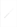**ONIBON** RELSS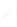BALBOARY 55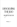# DISSOLVING THE EGO HELEN HAMILTON

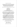Copyright © 2021 Helen Hamilton.

All rights reserved. No part of this book may be used or reproduced by any means, graphic, electronic, or mechanical, including photocopying, recording, taping or by any information storage retrieval system without the written permission of the author except in the case of brief quotations embodied in critical articles and reviews.

Balboa Press books may be ordered through booksellers or by contacting:

Balboa Press A Division of Hay House 1663 Liberty Drive Bloomington, IN 47403 www.balboapress.co.uk UK TFN: 0800 0148647 (Toll Free inside the UK) UK Local: 02036 956325 (+44 20 3695 6325 from outside the UK)

Because of the dynamic nature of the Internet, any web addresses or links contained in this book may have changed since publication and may no longer be valid. The views expressed in this work are solely those of the author and do not necessarily reflect the views of the publisher, and the publisher hereby disclaims any responsibility for them.

ے !  $\frac{1}{2}$ 

The author of this book does not dispense medical advice or prescribe the use of any technique as a form of treatment for physical, emotional, or medical problems without the advice of a physician, either directly or indirectly. The intent of the author is only to offer information of a general nature to help you in your quest for emotional and spiritual well-being. In the event you use any of the information in this book for yourself, which is your constitutional right, the author and the publisher assume no responsibility for your actions.

Any people depicted in stock imagery provided by Getty Images are models, and such images are being used for illustrative purposes only. Certain stock imagery © Getty Images.

Print information available on the last page.

ISBN: 978-1-9822-8274-5 (sc) ISBN: 978-1-9822-8273-8 (e)

Balboa Press rev. date: 02/18/2021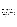# **DEDICATION**

This book is written for all those who wish to be free of suffering. It is dedicated to humanity and to all sentient Beings. It is the wish of the author that it help those ready to live in Freedom. It is humbly offered so that it might light the pathway when things may seem most dark.

Your Liberation is worth pursuing; no effort, struggle or despair will stop you and this book will be your guide. You CAN do it and you would not be reading this if you were not already called. Many are called to wake up but only a few believe they can do it. This book will walk with you to the goal.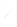BALBOARY 55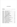# **CONTENTS**

| Chapter 3 |                                                 |  |
|-----------|-------------------------------------------------|--|
| Chapter 4 |                                                 |  |
| Chapter 5 |                                                 |  |
| Chapter 6 |                                                 |  |
| Chapter 7 |                                                 |  |
| Chapter 8 | Noticing the Sense of Being38                   |  |
| Chapter 9 | Noticing the Sense of Presence43                |  |
|           |                                                 |  |
|           |                                                 |  |
|           | Chapter 12 Be Conscious of Your Consciousness56 |  |
|           |                                                 |  |
|           |                                                 |  |
|           |                                                 |  |
|           |                                                 |  |
|           |                                                 |  |
|           | Chapter 18 Recognising Your Own Subjectivity 87 |  |
|           |                                                 |  |
|           |                                                 |  |
|           |                                                 |  |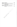| Chapter 23 Resistance, Obstacles and Distractions |  |
|---------------------------------------------------|--|
|                                                   |  |
|                                                   |  |
| Chapter 25 Summary of Common Names for the        |  |
|                                                   |  |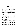# INTRODUCTION

This book is primarily written as an instruction manual. It came as a response to the hundreds of questions from students along the lines of "I know this mentally but how do I live like this?" Over and over again students would have insights and revelations into what they really are. Time and time again a glimpse would be seen that in fact we are not separate people; nor have we ever been. These glimpses came often for many but still there seemed to be little clear instruction on how to dissolve the egoic sense of self. This book is written for that purpose.

It's one thing to see what you are and it is another thing altogether to fully dedicate your life to your total awakening. Few are the ones that have walked all the way to the end of the road and this is due to many factors which we will look into.

## What Stops People Awakening?

The first reason most people don't wake up is that they don't have a clear insight into what they actually are. If you are reading this book and have not had a glimpse of what you are, of the Noumenon Itself, it's ok. Throughout the course of applying what you read here you will begin to see the Truth of your Being over and over. This book will help those fastest that HAVE seen and have chosen in their hearts to live from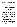this place of Truth. It is intended for those that find it simply impossible to spend one more day as a separate person because it is no longer tolerable.

Regardless of your experience or knowledge in these matters, this book is for you. It will help you begin from wherever you are starting from and move into total Freedom from the mind.

The second reason we do not usually wake up is because we have believed that it's too hard, it will cost us too much and that losing our sense of being a person will be a huge sacrifice that we will always regret. We can also fear that we will become some kind of automaton or robot with no ability to think for ourselves upon awakening. This is simply not true and this book will help you see that.

The third reason is because we have had very few contemporary examples of awakened Beings in our lives. We have heard of the great Sages and Avatars that lived long ago and we may see living Teachers here now, around us and on YouTube, but deep down in our mind we believe that Enlightenment is only for the lucky few or those that have a superhuman ability to concentrate. We may also believe that we need to have a living Teacher to talk to or that it is impossible to wake up fully in one lifetime. All these myths pervade the human consciousness and stop us from believing in our own liberation.

It is time to make a new paradigm. One in which many of us wake up and it becomes easier and easier for those that follow us because we have been living examples of Truth and the fact it is possible. Never has it been easier to wake up fully out of your limited sense of self into total Peace. Never has there been more help readily available through books like this or over the internet. Everything is set for you to wake up fully and shine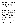as your True Being, but you must believe it is possible for you, even when others may tell you it's not.

You are not being asked to become anything other than you already are. You are only being asked to see clearly and then make a stand for freedom. All you need will come to you to complete the journey and detailed instructions are given in this book to help. Are you ready?

## What This Book Will Not Give You

This book will not spend time describing the Enlightened State and what it's like to live the Awakened Way. There has already been plenty of description of this and it serves no purpose to write about that here. Each time it is described it is only more mind food that will be taken, conceptualised and used to continue the dream of being a "someone" alone in time and space. I would like you to find out for yourself what it's like. Become what you have seen and live it fully.

The only thing that will be said about what happens when the ego dissolves finally is that it is totally worth it. It is worth spending every spare minute that you have in practice. It is worth every seeming sacrifice (it is later seen that anything you thought you had to give up was actually worthless anyway) and it is worth it every time you might have to muster up courage to go further.

There is nothing in this world that will compare with the Total Realisation of Truth. We are not discounting this world and all the experiences it has to offer but simply asking you to wake up first and be a beneficial source of Light to the world rather than a drain on it.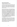## Why Do We Use the Word "Noumenon" Rather Than "God"?

Throughout the book there are many names given to what you are, such as Silence, Stillness, Being, Pure Awareness and many more. These are all names for That which has no name and is in no need of a name. It cannot be described in words yet we must use some label for It so that we may point towards It in this text.

We use the word "Noumenon" most often because it has very little (if any) previous meaning to most people. The Buddha avoided the use of the word "God" because for most people this word had so much "baggage" attached to it and so much programming around it. Spiritual students had very little room to explore what was to be found because they had so many preconceived ideas about God. Today's modern spiritual seeker is very well read and educated and is often used to terms such as "True Self", "Pure Awareness", "God", "Enlightenment", "Truth" or "Reality" among many others. It therefore serves us to use a name that has very little previous connections for most people AND accurately describes what it refers to (see the chapter titled: "*What is the Noumenon?*").

Awakening is really a letting go of all we believe and think to be true and as such we will also have to let go eventually of what we think Reality is and what we think we are. The term "Noumenon" helps us to do that; the meaning it has for you will be developed by you from the inside and not read about, learned or thought about. This is the best gift I can give you the chance to find out for yourself.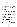## How to Use This Book

It is advised that you read this book in its entirety at least once. Any urge to skip over certain chapters will most likely be resistance coming to the surface. Even though you may feel you are reading the same thing again, know that this is done on purpose; important points are highlighted, repeated and in bold quite often because consciousness learns in a non-linear way. We learn spiritual information by reading or listening to it but we BECOME this information, by absorbing it again and again until it becomes familiar to us. When it becomes familiar it is accepted and acted upon.

Use this book as inspiration to continue along the pathway if you need to. Read and re-read and convince yourself of the importance of taking this journey.

Use this book as an instruction manual for each stage of your journey. Everyone that has ever awoken has had to have instruction from someone who has already completed the journey. It is worth re-reading the book occasionally too in order to see if any habits of resistance or avoidance have subtly crept in.

Reading the book in linear sequence is not necessary but is helpful and recommended. The order of the chapters is designed to cause a shift in consciousness and inspire the desire to fully awaken, if it is not already occurring.

It's possible that someone may read only one chapter, choose one stage one practice and fully awaken without reading another page after applying what they read to all areas of their life completely and without reservation. Most of us are not so driven as yet so you must ignite the fire to fully Realise your True Self by reading and contemplating what you read.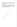When you think about what you have read you will find a fire is lit within you to BE what you are reading about and it grows stronger each day.

What is written in these words can only represent what you are. Heaven cannot be described in a book but the way to it can be shown clearly. Think of this book as a roadmap and compass and most importantly GET STARTED.

> OP  $A^8$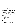# CHAPTER 1

## What is the Noumenon?

#### **The Noumenon is what you are, but you have been taught to think of yourSelf as a phenomenon.**

The Noumenon is a very useful name for what you really are and as such it will always be capitalised in this book. It is useful to look at the classical definition of the Noumenon, and the "opposite" of it which is a phenomenon (plural is phenomena):

#### Noumenon:

- A thing as it is in itself, as distinct from a thing that is knowable by the senses.
- A thing which is knowable only without the use of ordinary sense perception.
- A thing that cannot be experienced through the senses.

#### Phenomenon:

- The object of a person's perception
- A fact or situation that is observed to exist
- An event, fact or happening that can be observed to occur.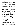We can see from these definitions that the Noumenon is something that you cannot experience through the physical senses; we cannot see it, taste it, touch it or smell it. We can also know that the Noumenon is not something that has a finite existence in time, meaning it has no start or ending. We can contrast this with a phenomenon which has a distinct start and end in time and has a duration or lifespan. A phenomenon can be seen, felt, touched or experienced. The Noumenon cannot.

We cannot come to know what we are and live as That by using just the methods that have worked in the past. We have been taught to gather knowledge and to learn about things and to acquire information. We have also been taught to value above all else the tangible world of objects and events; to judge what we can see, feel, hear, taste, touch or think about as real. We have also been conditioned to totally disregard what is invisible, intangible and formless. A good analogy is the moment we enter a room, we immediately look at the objects in the room but totally ignore the space in it or the air in it. If we see a lake or a body of water we immediately look at the birds floating on the surface and not the water. In this way we immediately bypass the obvious Noumenon that is the Silent Field in which all objects and phenomena appear.

 $\subseteq$ 

#### **Phenomena come and go. The Noumenon Is, always.**

## Phenomena of Thought

We have a habitual tendency to define ourselves by what we see; we think we are what we see. The first thing most of us notice is a sense of being someone that is made up of the phenomena of thoughts about ourselves. These can be thoughts about our history, our potential future, or dreams, hopes or goals, our desires and much more. We notice immediately this collection of familiar thoughts and we call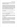it "me" and "my mind". We do not stop to notice that these thoughts appear in something that can recognise thoughts but ITSELF IS NOT A THOUGHT.

Thoughts are the first phenomena to appear in the Noumenon. The Noumenon is Silent, Infinite, Still, Peaceful, Invisible, Intangible and beyond time and space and yet all things appear in It. The first thing to appear in it is the thought "I am" or "I exist". After this, a whole lifetime's worth of thoughts are accumulated and we are systematically trained to pay more attention to what appears *in* the Noumenon than *the* Noumenon Itself.

How many times a day do you stop to look at what is looking at your thoughts?

How many times a day do you listen to your listening?

Have you ever wondered what is watching the endless succession of thoughts come and go?

Have you ever wondered why your attention ALWAYS goes to what you are thinking and NEVER goes to what is noticing the thinking?

Even the sense of "me" is not permanent. It was not here last night in deep sleep but it re-emerges every morning to feature throughout the whole waking day, then disappears again as you go to sleep. Even this sense of "me" is a phenomenon appearing in You — the Noumenon.

It does not matter if these are merely words for you right now. In time you will come to live from this place CONSCIOUSLY (you already are the Noumenon but It has not as yet recognised Itself). Apply what you learn in this book and all that will change.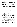Learn to discriminate between form and formlessness. Learn to discern what is You and what is not you. Thoughts, emotions, perceptions, opinions, events, relationships, sensations and bodies all have a beginning and an ending and as such have to be phenomena and will not stay. Everything you can perceive is not the True You. Even this sense that "I am conscious/ awake/aware" is not the True You. Use the tools in this book to take you to the Highest Place and make a stand there.

## Change of Values and Habits

In this process we are really only turning around two habits:

Habit  $1 -$  To value phenomena above that which they arise in. To value phenomena as the most important thing (including thoughts!).

 $\subseteq$ 

Habit 2 — The habit of putting all of our attention on what comes and goes and giving no attention at all to what is Eternal.

Gradually we will turn around these habits by redirecting our attention back to the Noumenon again and again until this becomes the predominant habit. It is as simple as that. As we focus on what we really are, the delusions about ourselves begin to fall away. It is like pricking a hole in a balloon and watching the air begin to leak out. At some point the balloon is lifeless and empty. We simply need to stop the habit of feeding attention to the phenomenon of the egoic sense of "me". This redirection of attention happens gradually over time for most people, but is accelerated by the practices in this book.

You cannot simply stop a habit but you can replace it with another. We can replace the habit of looking at our thoughts, emotions and body and believing we are them. We can begin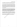to put attention on the Noumenon and gradually it becomes more and more clear that this is what we have always been.

You can succeed at turning around these habits because they were not original to you. It takes effort and energy to keep the attention focused on thoughts and it was not easy for you when you were small to learn to do this. Any habit can be turned around with consistent effort and soon you will revert back to your natural state.

**The Noumenon is not some far away mystical concept. It is That which hears the inner speech of thoughts and outer speech of words. It is That which sees the inner images in the mind and outer images of the physical world.**

**The question "What is the Noumenon?" is heard by the Noumenon! This sense of "me" is not what you think it is!**

(See the appendix A at the end of the book to help discern the difference between the Noumenon and a phenomenon)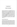# CHAPTER 2

## What is the Ego?

The ego is really that part of us that believes that we are a separate being, alone in time and space and trying to make it through life. The ego is not to be judged as wrong or to be alienated in any way even though it seems to be the cause of our suffering. True understanding of what the ego is will immediately begin to dissolve it then we can see it is no longer an enemy to be defeated, but simply the animalistic part of ourselves that allowed us to survive up until this point. Just like the software programme on a computer that is now in need of an upgrade, we can see this sense of being a separate "someone" served us for a while but now we are ready to upgrade.

## How Did the Ego Form?

The egoic sense of self is simply an energetic mass of beliefs, conditioning and habits of thought that have taken on a life of their own with the investment of our belief. At first there was only this pure Self that you are then at some point the body appeared in your Awareness. Suddenly, there was a sense of you being inside this body and you began to identify with the body. Over time, as an infant, you began to learn how to make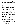this body do what you wanted it to and gradually you began to forget you were the One operating all bodies. This human body that you had now became the focus of all your attention.

As the body and brain grew and matured, the thoughts about the body and the mind become more and more complex. Conditioning was given to you that this body is what you are and that you are separate from others, from the Self and from Peace. In time, the belief that you are the body grew and became a very strong neuro-pathway in the brain. You began to unconsciously filter out any experiences that were in opposition to this belief and you began to try to accumulate all that you could get to make you feel more secure. Fear replaced peace and tension replaced relaxation as the normal emotions.

As your ability to think about yourself grew and you reached adolescence you began to add to the definition of what you took yourself to be. Along with the body you now believed yourself to be the mind too and so you began to treasure and protect the content of your mind; all the various thoughts that began to emerge were owned as "mine". Opinions, beliefs, desires, goals and dreams that you had all became a part of "me" and so did all your thoughts about your failings, your lack of worth, things that you still need to get and much more. This sense of "me" was now a complex mix and body, mind and belief were in a constant state of need. This need to accumulate things and possessions to feel safe began to expand and you began to try to accumulate intangible things such as self-worth, selfrespect, love, appreciation and security.

This is where you stayed for many lifetimes as the bodies came and went. Each time a body appeared, you began to accumulate and struggle in a world which did not seem to ever be able to give you enough to feel complete and safe. If a sense of completion did come it was short lived; perhaps the

7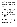product of some sporting or academic achievement or as a result of finding the right mate or having children. In time even this too did not satisfy the void that was felt inside. Nothing can satisfy this void because it is the result of the false belief in being a "someone" located inside a body and vulnerable to poverty, disease, adversity and an eventual end when the body dies.

## The Dawning of Wisdom

The harder your mind and body tried to find happiness in the world the more elusive it seemed to you. Eventually you began to give up hope and began to question whether this struggle for existence was all there was. Questions began to appear in your mind that had never happened before, such as "what is the point of all this?" and "there must be more to life than this". A doorway was opened in that moment to begin to see the Truth of your Being, that you have never been limited or separate. At some point you encountered a True teacher or teaching and you began to see that perhaps all that was ever "wrong" was that you had mistakenly identified yourself as something that comes and goes - a body and a mind. Now you have drawn to you the means to turn around this belief and to begin to let go of it.

 $\subseteq$ 

The egoic sense of self is simply a collection of thought patterns in the mind about what we are. They have served us well to allow us to be mature enough as an adult to be able to contemplate what is beyond the egoic sense of self. Now it is time to move beyond. Like an old jacket that no longer fits, we can simply take off the belief of being separate and begin to put more attention on our True Nature as the Infinite One.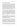## How Do We Dissolve the Ego?

We don't necessarily need to make an effort to dissolve the ego because it does not really exist as an actual entity. It is simply a collection of (very) familiar thoughts mixed with attention and investment of belief that they are "mine" or "me". This collective bundle of beliefs about life, ourselves, the world, God, the Universe is what we take ourselves to be and needs constant reinforcement all the time. Note how you can hear people constantly re-affirming their "me-ness" when talking and how it seems more real when you talk about it.

The egoic sense of being a separate someone needs an enormous amount of energy to be fed to it constantly and this has been happening for so long that you have forgotten just how much. As you begin to take attention away from this sense of you, you will begin to feel a more and more effortless state appearing. This perhaps, may be the first taste of the Noumenon. It feels like home, security, completeness and peace.

It may initially take some effort on our part to stay vigilant as we hold attention on what is true about us and refuse the attention going with the thoughts. Attention automatically will go with thoughts if we do not stay observant.

We must simply keep attention on the Noumenon by using one of the practices in Stage One. We can then allow the egoic sense of "me" to dissolve just like an old ruined building will immediately begin to collapse if we stop running around constantly propping it up. What is false falls away once seen to be false and we need not do anything to make that happen.

We are the Self believing ourselves to be the separate sense of self. We must make use of this separate sense of self whilst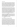it is here. It is in fact the reason for having this complex human brain that is capable of contemplating itself and this ability is present in no other species except humanity. We must learn to use this sense of self to focus consistently and only on the Self. We must use the practices in Stage One, Two and Three to focus on the True Self like a laser beam and this begins to burn away all delusion and illusion about our True Nature.

This Awareness that we are has the ability to focus on something when it flows through this body. Use this focusing ability like a lighthouse that can light the Truth of your Being. This small self has been focused consistently on the world outside and on the objects of our sense perception. This gave us the illusion of being someone viewing the world out there and having an independent, separate existence from it. As we turn attention around 180 degrees onto that Self that is looking at Itself, we begin to allow the Truth to reveal Itself to us.

The Noumenon cannot reveal Itself to us when we are more interested in what is "out there". Everything we think we see is really appearing "in here" in our mind. Focus the self on the Self and hold attention there as is described in Stage One and all your problems will begin to disappear.

 $\subseteq$ 

## Why Do We Want to Dissolve the Ego?

As long as we feel deep down that we are separate from God, from what we want, from life, from others around us or from even the Noumenon, we will always act from a basis of lack, fear and survival. Inherent in the sense of being separate is lack and fear. We will always believe ourselves to be the one trying to get back to God or find our way home. Whether we believe we need outer tangible things or inner intangible things we will always be constantly driven with no rest inside. We will always be trying to accumulate knowledge, power, wealth,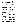friends, love, security and whatever else we think we need to be happy and safe.

As spiritual students, we can spend MANY lifetimes driven by the search for freedom, always believing it to be something "out there" or some state or place we can reach and finally be home. We will always be looking for ourselves by doing some work to get there, all the while missing the essential point that we are already what we are searching for but we have not recognised ourselves.

When the ego dissolves it leaves only the realisation that everything was always perfect and complete and that there never could have been any lack. Even once you have started the process in earnest you will begin to notice more clarity, peace, a sense of growing freedom and that nothing ever was wrong in the first place.

The egoic sense of self was needed to ensure the survival of the human species but now it is time to let go of all limiting selfdefinitions and wake up fully to the Truth of your Being. You are the Noumenon watching another human experience and once you know this, then you will live in Peace.

The only way to live in this True Reality is to be willing to see where you have still believed yourSelf to be something limited and finite. If you are willing to see this then it will dissolve and you are free. Enjoy the human experience without any fear. Take in all that human life has to offer and know that what you are cannot end. Live this life in this body fully and embrace every experience, but from your True Place of being the Infinite One.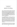# CHAPTER 3

## Benefits of This Pathway

This is a direct path that lights the way to Truth through experience. Nobody can tell you what it's like to live in and as the Noumenon, but they can point out how to experience it. Once you have experienced for yourSelf what you REALLY are, then nobody can say anything that will change that experience. There are many books that describe the Noumenon and it is fine to read and learn about it at first but if your heart is truly longing for freedom, then you must experience the Truth of your Being as soon as possible.

The aim of the instructions in this book is to get you to experience for yourSelf what you are; perhaps for the first time. Once your mind begins to taste the Noumenon even a little it will want more. It will decide it is the most delicious experience we can have! In this way we can win the battle with the mind without fighting because your mind will *want* to engage in practice. Allowing yourSelf to experience what you really are and to fall in love with this totally will allow resistance to melt away.

This book will help you to get to know who you are and get used to feeling the peace, love and joy that is your Natural State. As you get used to feeling this and allow yourSelf to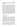bathe in the light of your Truth as often as you can, then a slow, gradual dissolution of the ego will occur and you can simply watch it happen.

In all pathways the mind must eventually admit that it does not know what you really are and must also admit that it does not know the way to liberation. In this pathway it can be much easier to get to this place because your mind will be more ready to accept the Noumenon having had a taste of it and seeing that it is simply what has always been here. The mind naturally fears the True Being because it does not know what it is and never will. This letting go or leap into the Unknown is hard for many people and they never make it successfully. Many fall at this point. The major benefit of this pathway is that the mind has been introduced to the True Being/Self well before it has to surrender and usually it has been exposed to it many times. The Noumenon almost becomes like a companion or helpful friend to the mind and the mind begins to allow itself to be disarmed.

## Dealing with Fear

On any pathway, it is likely that fear about letting go fully into the Truth will arise at some point, but here this will be greatly diminished because you will have seen what you are. If you have read this book and followed the instructions carefully you will have all the tools you need to allow this process of awakening to occur as quickly and easily as possible. Everyone will be tested along the pathway but here you will always have easy and simple instructions to help you in those difficult times.

As you walk the pathway know that every enlightened Sage that ever walked the planet is with you. Every Saint is for you. Every Master is beside you. All those that have done it are supporting you in unseen ways and Grace is helping you as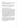you make each step. Know that you do not need to know how to get through the next challenge; help is here for the asking. It can come in an infinite number of ways.

Devote yourSelf only to Truth, to God, to the Self. Your heart should beat only to see the Truth in everything and everyone you see. Then you will live in the Kingdom of Heaven.

## This Experience Will Be Only Yours

This book intentionally makes very little, if any, reference to Sages of the past and traditional teachings or styles of religion in the hope that as such, what you discover will not be tainted or coloured in any way by what you have read, learned or studied spiritually up till now. The modern spiritual seeker has read many books, attended seminars and learnt many styles of meditation and this acquired knowledge can be projected by the mind onto what is read here. It is the aim of this book to be like a blank slate for those that have read and learnt much about awakening but as yet have not been able to put it into practice and turn it from purely theoretical and mental knowledge to a lived experience of Oneness.

 $\subseteq$ 

This is not meant to invalidate the famous Teachings and Teachers of past and present but to merely guard against the mind's tendency to take information and compare it to what it already knows rather than applying it. This is also a reason why we use the word "Noumenon" to describe what you are rather than a more traditional term.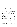# CHAPTER 4

## Stage One Practice: Learning to Tune In

All of us have had years of practice (lifetimes even) learning to focus attention on the phenomena of thoughts, feelings, and outer events. We all have attachments, patterns we use to distract ourselves, self-sabotaging thoughts and other programming that has been running us. For these reasons we need to devote some time each day to true meditation. This is a simple practice of "no-practice". This is a non-doing practice which means that we are not trying to get anywhere, to achieve any particular state or become something other than we already are. On the contrary, we will begin to tune in to what we already are. Our True Being is Silent, Still, Aware, Awake and is reading this right now. As we learn to give time and attention to the Noumenon we are simultaneously de-programming ourselves away from this constant fixation with the content of the mind and its convictions that we are a separate being trying to find our way home.

We cannot force the mind to be silent, but we can focus on the Silence that is already here in and amongst thoughts. Simply by taking attention away from our mind and putting it on what we really are we begin to de-energise the mind. At some point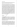the mind becomes totally silent all by itself, but before that even happens you will not care whether it's noisy or not.

In this practice we will be learning to tune in to the Noumenon. Now it may sound strange that you have to learn to tune in to what you really are but all of us have had significant programming that tells us thoughts are more important than what we actually are. We all have egos that believe firmly that our sense of being someone separate is all we are and that giving this up will result in the end of our existence. The ego holds on tenaciously to this belief and it has no evidence to counter it. As we learn to notice again and again the Silent, Still Field of Awareness that is just Being, then gradually the ego will begin to let go by itself. Simply paying attention to what we are already is enough; you cannot force a letting go to happen but you can show the ego that it is safe to do so. As you learn to tune into the Noumenon, by whichever name you call it, you will find it becomes increasingly irrelevant whether your mind lets go or not, is silent or not.

## Tuning In

I want you to think of this practice as if you were tuning in a portable radio so that it can pick up a radio station that's already being broadcast. Learning to pay attention to yourSelf is like that too. You do not need to do anything to make the broadcast happen and to listen to the Silent Field. You simply need to know how to tune in.

The Noumenon is beyond time and space, infinite in its capacity. It is omnipresent and available at all times in all places. There is nowhere that it is not present and that includes you, right here and now. Knowing that the Noumenon MUST be here now allows you to simply relax and begin to tune in. It does not even need to be searched for but simply noticed. Just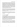like if you were listening to loud music and suddenly it stopped. Immediately the silence is noticeable in the absence of noise. The Noumenon is that which is apparent in the absence of all things/phenomena. You do not have to get rid of all thoughts to notice the Noumenon; it is enough to simply see that thoughts are appearing in this vast field of Awareness that you are. Something is hearing your thoughts — what is it? The Silent Noumenon is always listening, open, aware and observing in an impartial way to all that is occurring in it.

Relaxing and listening is the way. Knowing it is here and feeling for it is key. You do not need to exert any effort or strain to find the Noumenon — it has been precisely this effort that has seemingly hidden it from you.

How much effort must you make to be what you already are? How hard will it be to find what is always here all the time and in all places?

## The Different Practices

The following section of the book lists many ways to tune into the Noumenon. I suggest you read them all and feel for which one pulls at you. Perhaps one or two of them will be attractive for you. If you are more mind-based then being aware of Awareness may be for you. If you are naturally quite sensual then listening for the Silence may work for you.

As you read the sections, note down which ones feel right or easier to you and give them a try. They are all describing the same practice, a non-doingness. A letting go of effort and tuning in. Right where you are already the Noumenon is here.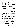## The Difference Between the Inner and Outer Search

Notice that when we are asked to look for something we immediately begin to look outside of ourselves. We usually straight away go to anything that feels like "otherness" such as our thoughts, feelings, world, events, relationships and even our definition of ourselves. The aim of this book is to show you that you have been looking "out there" to find yourself and have not been putting any attention at all on *what* is looking. Could it be simply that what you have always called "me" IS the Noumenon and you simply overlook it every time?

If you follow any one of the practices listed in stage one you will begin to see they are all training you to develop the ability to one-pointedly focus on "in here". Tuning in you will see that what is already here is the biggest prize you could ever ask for AND is in fact what you have been searching for. We have been programmed, taught and trained to look "out there" and to totally ignore what is doing the looking.

Note that even the "inner world" of thoughts, feelings, sensations and emotions is "out there" to the Noumenon. Even this subtle inner world of thoughts, opinions, mind in general and our sense of self is "out there" to what you really are. Doesn't it stand to reason that you must be here before you can even notice a thought?

**The outer search is a reaching, trying, becoming, wanting, trying to find, hoping to achieve or reaching a destination type of search. It involves a tremendous amount of effort and will not succeed.**

**The Inner Search is a relaxation, a tuning into, a clarity of focus, a final seeing, an understanding, a re-contextualisation,**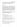#### **a softening and inclusion, an allowing and a letting it be as it is. It is effortless and immediately bears fruit.**

## **Resistance**

If you cannot find or choose one of the practices, or none of them feel right to you, then it is very likely that your mind is putting up strong resistance. Tell your mind that it is ok and nobody is going to do anything to it. Our mind will fear what is new to it but it will come to see that tuning in to the Noumenon feels relaxing and is calming. In time the practice will begin to cause a deeper happiness and peace and your mind will want to tune in.

#### **Every awakened Sage has had to push through this resistance and do it anyway. So can you.**

## A Few Notes

You are not becoming anything with this practice.

You are not looking to achieve a particular state.

You are not trying to silence your mind — merely to find the Silence that is here already despite the thoughts.

You are not trying to leave your body or do any kind of spiritual acrobatics.

You are simply sitting and tuning in; like sitting down with an old friend and listening to what they have to say.

You are not trying to get anywhere.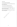You are not trying to achieve anything.

A Mille

You are simply sitting to notice what is already here but has been overlooked till now.

You are not trying to manipulate the Noumenon.

You don't have to have a quiet mind for this to work.

You do not need to be an expert meditator. Forget all you already know about meditation.

There is no end result we are looking for here. It is enough to tune in to the Noumenon.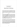# CHAPTER 5

## Being Aware of Awareness

At every moment we are aware; we can begin to see that there is always Awareness present. Something within us is always seeing. We have been trained to focus our Awareness totally on what we are aware OF and not at all on the Awareness itself.

All day throughout the waking hours we are aware of thoughts, emotions, social interactions, our body, events in the world and on it goes. There is a background of Awareness that is always noticing whatever is going on in the outer world such as where our body is, who we are with, what the weather is like etc. It is also always noticing what is going on in our inner world of thoughts, feelings and sensations in the body.

This Awareness is not some far off place that you have to reach; on the contrary. It is so common and normal to you that you do not ever notice it! Every time you say "My mind is so busy" then you are noticing what your mind is doing but putting no attention on that which notices. **The practice is simply to take your attention away from what you are aware OF and to put it on the Awareness itself.**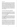Awareness is not a feeling and does not feel any particular way. It is just aware. Every time you say "I know" it is this same Awareness recording all that is appearing in front if of it but you call it "me". It is simply that aware intelligence that seems to wake up every morning and watches all that occurs each day until the time comes for sleep. It is not special and it will not feel special; it just is. Awareness is just the ordinary Awareness that you are using right now to read this. If somebody came in the room and began to talk to you then you would effortlessly be aware of that person and what they were saying. You cannot switch off Awareness.

## The Practice of Being Aware of Awareness

At first it is enough to simply set aside some time each day to sit down and be aware that you are aware. It is as simple as noticing that you have Awareness. At any moment you cannot deny you are aware because you are aware of all the stimuli coming in through the senses.

 $\subseteq$ 

Simply being aware of your Awareness is enough. You can only be aware of Awareness or aware of your thoughts but not both at the same time. Frequently you will notice Awareness has gone to thoughts and you must simply redirect your Awareness back to being aware of itself. Awareness aware of Awareness. That simple. No tricks.

Thinking about being aware is NOT the same as simply being aware of Awareness. This will be your mind's biggest trick to stop you practising and so you must overcome this and see it clearly. Any thought about Awareness is noticed in the Awareness itself. We have all spent much time thinking about Awareness and that has not worked. This is probably one of the reasons you were drawn to this book, to finally move beyond this. Thinking about something and the actuality of it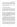are very different things. Thinking about Awareness leads to a stronger sense of separation. Being aware of Awareness will begin to dissolve the separateness. It is either one or the other.

You can only be aware of one thing at once so you are either aware of your Awareness or not.

### The Progression of the Practice

As you start your practice, it will feel like there is a sense of "I am aware of my Awareness". As if there are two entities in fact. It will feel as though there is a "you" which is aware of the bigger Awareness. Everyone must start from here and this is ok.

As you continue your practice, it will be realised at some point as a *knowing* (rather than a thought) that Awareness is simply aware of itself. It will be seen clearly that Awareness is simply choosing to focus on itself rather than any other supposed object "out there" and this includes thoughts. Thoughts are "out there" to the pure Awareness that you are.

As you progress you will see that Awareness is developing more and more of a taste for itself and has less interest in what it is aware OF. To be aware OF something (like thoughts, feelings, objects etc) there must be two things: one thing that is aware and another thing that it is aware of. We could say that being aware of something is where the split into two seeming entities occurred — a "me" that is trying to get back to the Self.

This does not mean that you'll become unable to function in the world or hold a conversation as you cannot be aware of where your body is or what someone is saying; it is more that you will be aware of everything in your field of experience without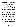any tendency to label them with names and forms. You simply begin to take it all in panoramically.

As with each one of these practices, at first you will need to make time to sit down and be aware of your Awareness but as you continue you will begin to notice you are aware of Awareness when you are moving around your life. An example of this is that you might suddenly see that when you are driving, Awareness must be aware to be able to watch the road and you are noticing it. You might find yourself listening to someone talk and suddenly understand that Awareness must be there to hear the words and as soon as you realise this, Awareness is aware of Itself.

Notice the tendency of mind to object by saying "I cannot be aware of Awareness when I am doing something else." At first, this may seem to be very true. But as you persist, you will see that Awareness can be focused "in here" and "out there" at the same time. In actuality we begin to see that Awareness really does not make a distinction between "in here" and "out there". It only sees the Oneness of Awareness. "In here" and "out there" are simply divisions that have seemed to be very real because we've spent much time reinforcing that belief with thoughts.

 $\subseteq$ 

Eventually you will see that you are able to be aware of Awareness no matter what the body is doing or the mind is thinking. It will be realised that mind and body are simply happening in your experience and you have a choice always what to be aware of. You will not lose your life, your experiences or your joy by focusing Awareness on itself all the time, but simply you will lose the ability to feel fear and a sense of separation which leads to desire and suffering.

The thought "I am aware" will be seen to be arising in Awareness. The sense of you being aware will be seen clearly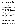to be arising AFTER Awareness is there. You will come to know that Awareness must be there FIRST before any "I" thought can be noticed.

### Summary of the Practice

Set aside some time each day to sit down (in any position) and be aware of Awareness. This is as simple as noticing that there is Awareness ALREADY present. As soon as your Awareness becomes aware of thoughts and pays attention to them, you must bring Awareness back to looking at Awareness.

Each time Awareness begins to look at thoughts, emotions and distractions, you must bring it back to being aware of Awareness only. Repeat this for as long as the practice session continues.

In the end it will be seen that there IS only Awareness and nothing else actually exists. All that arises from this Awareness (such as thoughts, a sense of "me") is in fact Awareness simply appearing AS something and not actually a "something". How can anything that arises from this Awareness be anything other than Awareness? Steam that rises from hot water is still water.

### Resistance to the Practice

The biggest resistance to the practice may come because you notice there are times when you feel you are unaware of the Awareness and lost in thoughts. Perhaps at first there may be long periods of time where this seems to be the case.

You can overcome this objection by seeing that you are always aware and sometimes you are aware of the feeling or sense of being unaware. This sense of being blocked or unaware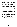has appeared in front of you and your Awareness is noticing it. Remove attention from the "I am not aware" feeling and bring it back to the fact that you can see or notice this feeling. Awareness is always on like the eyes are always seeing. You may walk into a dark room and say "I cannot see anything" and you may believe this; just like your mind will say "I am not aware all the time and I cannot be aware of Awareness when something big comes in front of me like fear." It is more truthful to say that "I can see total darkness in front of me" or in the case of this practice "I am aware of the feeling of being unaware".

Once you realise this you will see that you can never be unaware. Even at night time while the body sleeps you will begin to notice that there is Awareness of the mind being unaware or being asleep.

If resistance continues, re-read the chapter on "Self-Inquiry" and the chapter on "Short Cut" and apply them. Ask yourself what is aware of this resistance and is IT affected by the resistance?

 $\subseteq$ 

**Awareness is not the thought "I am aware". It is That in which all thoughts arise and merge back into. It is here before any thought arises to notice it arise. Therefore no thought can block it in any way.**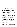# CHAPTER 6

## Listening to the Silence

In the background there is constant Silence that most of us do not hear because we are so focused on the noise of thought, emotion and verbal chatter. Even when we are silent it is usually only because we are being entertained by the television, radio, social media or a number of other things.

In this practice we begin to tune into the Silence that is our Being. Being is just silently being, not doing. It can help us to realise that we can only hear and recognise sound, speech and other noises because it appears against a constant background of Silence. We can only recognise that something has appeared when it appears against a background of something continuous. Similarly, we can only recognise that a sound has stopped because the Silence is there and listening. We get a sense of this when a car or house alarm has been sounding for some time and finally stops; or when a pneumatic drill goes off by our house or we are passed by an emergency ambulance with its sirens blazing. In the sudden absence of the loud noise we can feel a tangible sense of Silence and it can even seem loud.

Silence does not listen in an active way; it is not interested in a personal way in what it hears. We could say that it is openly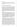and lovingly listening to whatever arises in it; it has no opinion about any sound, it hears opinionated thoughts about what it is hearing too!

### The Practice of Listening to Silence

Silence is more a way of being than a doing; naturally our being is silent and it can help us to begin to perceive the Silence by just being willing to sit and listen. That's all — just to listen and not to expect to hear anything in particular. Right now we are already hearing the Silence of Being but we have been trained and attuned to habitually pay more attention (or all our attention!) to the noises and sounds that appear than the Silence itself.

It is useful to set aside some time each day where you can sit alone and listen to the Silence. It need not be a long time at all, start from where you are at and whatever you can do. You can even listen to the Silence in the bath or sitting alone with a cup of tea on a morning. There is not any special position to sit in or any other thing to happen other than the fact that you are willing to put your phone on silent and turn off the TV for ten minutes or whatever time you're comfortable with.

In the beginning, it can help to sound a gong or ring a bell. As the noise of the gong or bell fades, we can gradually notice a more palpable feeling of Silence replacing it. In fact it is not replacing it. It's just merely that we are noticing it now. If our Being is the Noumenon, it MUST be here already and everywhere. It must be ever-present as the space in which all else is occurring. All that is occurring is that we are replacing the habit of our attention always going to the phenomena of thought, mind patterns, emotions, sensations and the outer world. We are training our attention to notice the unchanging Silence of the Noumenon first rather than the constantly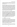changing sound phenomena. Thoughts are simply sounds that are heard in our head and we then chose to verbalise them as outer sounds or not.

At first when we begin to tune into the Silence it may feel like nothing at all is happening. We may only notice an absence of sound. We have to be spiritually mature to continue our practice through this phase. We can reach this maturity quickly by seeing it is our mind that is looking for a one off "aha" moment and wants to say "that's it, I have done that practice — what's next?" We are not listening to the Silence to get an effect or achieve an outcome; we are simply attuning ourselves to listen to the Silence for the pure joy it brings.

Whether we notice the Silence or not is actually unimportant. The real spiritual growth comes from the commitment to being willing to sit and listen for even a few moments. This is something most humans will never achieve in a whole lifetime! Of course they cannot be blamed for that as it is simply where they are at. You are different; you have already had enough of the noise of the mind or else you would not be reading a book like this. So persist in your practice and let go of wanting a tangible result. You need no results to be what you are.

## The Progression of the Practice

At first it may feel like you are achieving very little and you will have the feeling that "I am listening to the Silence". It will begin to feel perhaps a little relaxing to just sit and listen with no expectations of what you might hear. As time progresses you will begin to notice a sensation of more openness in the body the longer you spend listening to the Silence.

There will probably be the feeling that you can only hear the Silence at first when you are in a quiet room and in formal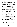meditation practice or alone and this is normal and to be expected. As you persist you will begin to spontaneously hear the Silence in other places and in situations where your mind is not so busy, such as when driving or watching a movie. Eventually you will come to notice that the Silence is always here and you can hear it all the time. It is different for each person how long this takes and it should not matter anyway because you will begin to find that you are listening for the Silence simply because of the spacious feeling and quietness that noticing it connects you to.

There will seem to be various stages in your practice and at first it will seem to be only formal practise periods where you make an effort to sit down and shut out the noise and distractions. This is how it will be for a while. Gradually then you will notice yourself spontaneously being aware of Silence even whilst busy in normal activities in life. Practise will move from only formal practise to more and more informal and spontaneous listening. Eventually formal practise will seem to disappear as the one listening begins to be seen as just a thought appearing in the Silence.

 $\subseteq$ 

As you progress in your practice, you will notice the thought more and more of "I am listening to the Silence" being replaced by a knowing that **you are the Silence Itself listening to Itself**. We could say that the "I am listening to Silence" thought can only be heard in the mind because it appears against a background of Silence. Notice that all that is happening is the Silence is beginning to recognise Itself as Silence and the "I" thought is being heard in That.

Eventually, all that arises out of this Silent Field of Being will be known to also be the Silence too; no matter how noisy it may seem. Just as steam that rises from the surface of hot water cannot be other than water; so too all noises and sound that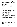arise from the Silence must also be made of this Silence and have it as their core.

In the end all sound will only serve to reinforce that you are in fact the Silence of Being and in fact that which knows the Silence. That which knows Silence IS the Silence. A sound cannot recognise the Silence but the Silence can recognise the sound.

### Summary of the Practice

Take as much time as you are able each day to listen to the Silence and each time the attention goes back to the noise of thoughts simply bring the attention back to that Silent space which gives birth to all sound. Bring attention back over and over again. That is the practice.

When you feel ready or when it begins to happen by itself, then you can begin to listen for the Silence when you are not formally sitting. This should not replace your formal practice but should add to it and eventually overtake it. Formal practice will fall away as the practiser disappears but this will happen by itself. It is not something you need to decide yourself. Simply set aside some time each day and allow the joy you begin to feel to pull you in deeper and deeper.

### Resistance to the Practice

Any time you feel strong resistance to the practice then look at why you feel this is significant. Notice this resistant feeling is appearing in the Silence itself. Notice that if the Silence was not present you could not even hear the "I don't want to do this" thought arise.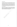If resistance continues or if the thought persists that "I cannot hear the Silence for all the noise in my mind" then re-read the "Self- Inquiry" and "Short cut" chapters and apply them. Ask yourself "where is the sense of 'me' that cannot stay focused and cannot hear the Silence" and see if you can find it. This is a rhetorical question. Disregard all mind answers and stay with the question.

**Silence is not a thought. It is That from which thoughts arise and merge back into. No thought can block the Silence or stop you from listening to it.**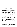# CHAPTER 7

## Resting in the Stillness

When we pay attention to what we are we can notice that our essential nature is Stillness itself. At first this seems to be covered up by the movement that arises out of the Stillness. Movements of thoughts, emotions, perceptions and sensations in our body can seem to be like waves on the surface of the ocean of our Being. We must begin to pay more attention to that within us that can notice the movement or constantly changing content of the mind.

The coming and going of thoughts and feelings is only noticeable to us in contrast, because we are watching it from a place that is totally still and silent. This Stillness is not simply the absence of movement but it is in fact the Noumenon that has never moved. Consider the Noumenon is omnipresent and exists outside of time. How could it move anywhere? It must be by nature inherently still. The Stillness watches all movement that appears within it but is Itself unmoving. For it to move there would have to be some "other" place where it is not so that it could move there.

Something within you is just being; not being anything in particular and not seeking anything. It is not trying to control, to accept, to transcend or to let go of anything. It is not trying to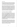become anything other than it is already. We can get a taste of this Stillness when we see that we are called "human beings" — the human part is something we are very aware of and know well. It is time to get in touch with the Being that simply IS.

We can easily miss this Stillness because it is not shouting for attention or trying to achieve anything. We must become more interested in what is unchanging within us. All things come and go but what we truly are is unchanging and totally still. When we begin to "tune in" to this Stillness that we are it can feel as if a soft relaxing field of energy is descending upon us but it is really that we are beginning to notice the Stillness that has always been here but has been overlooked till now.

### The Practice of Resting in the Stillness

Stillness is everywhere and is our essential nature but most of us have a very well developed sense of being someone; of being an individual. We must begin to want to notice that which is not moving and this is easily done when we have had enough of the constant coming and going of the mind. When we know ourselves to be the Stillness and not a "someone" moving around in the Stillness then we are looking from a stable place. When we find ourselves to not only be aware of the Stillness but to actually be it then we are undisturbed by the movement of the mind.

Most of us spend our entire lives trying to make our mind be still; which is really like trying to make something that is always in motion stand still. It is possible to do this but only for short periods of time and usually even if we can still our mind for a short period it will begin to move again soon afterwards and usually be even more chaotic than before.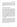It is much more effective to put attention on the Stillness that has always been here and then we begin to be less and less affected by the changeful sense of self and the world. We cannot make our mind be still but we can become more interested in the Stillness that is ever present and that is all we need to do.

### The Progression of the Practice

When we first begin to practice, it can seem like there is a sense of "I am resting in the Stillness" and we can begin to feel (as with all the practices) a sense of relaxation or heaviness in the body as it begins to respond to the Stillness. It will seem as if you are "tuning into" or "taking a bath" in the Stillness and seem to come in and out of it. In reality what is happening is that for some time each day, we sit and notice the Stillness so we feel it in our body. Then as we end our session and return to our activities, attention goes back to the moving changeful mind by habit. It can seem in this way that the Stillness has gone, when in fact we are simply focused on the movement instead. Stillness is still by its very nature and cannot come or go; it is simply our wandering attention that moves from Stillness to thought.

As we progress in our practice it will be understood at some point that the sense of "me" that seems to be resting in the Stillness is actually only knowable because we are seeing it from the place of total Stillness. What we are looking at is really where we are looking from also. The sense of self will be seen to be a movement simply arising from the Stillness Itself. Stillness will be seen to be no longer appearing to move at all but simply changing appearance.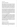### Summary of the Practice

Begin by setting aside some time each day to sit down and notice the Stillness. As with all the practices, we can begin with however much time we have available but it's better to practice consistently each day than for four hours one day and then miss five days. As you begin to notice the Stillness you will begin to really look forward to your practice session, and eventually your mind will begin to fall in love with the Stillness.

As with the other practices, you will begin to notice that you seem to become aware of the Stillness at other times, when not formally meditating. This is simply that you are becoming aware that the Stillness is always present. At first it is easier to notice it after strenuous movement or activity of the body, after a day's work or first thing in the morning; but eventually you can "find" it every time you choose to tune into it no matter where you are or what you are doing.

 $\subseteq$ 

At some point it will be seen that the Stillness is ever-present but simply seems to be covered up by focusing on something else. The sense of Stillness being stronger or weaker will fade as it is seen to be only our attention on it that fades. Gradually we come to see we are indeed the Stillness Itself in which our sense of self seems to be moving and having a life of its own. In the end it is seen that no matter what the "me" is doing, we are and have always been the Stillness and as such are indestructible and not subject to anything such as death and birth and all fear disappears.

### Resistance to the Practice

Sometimes when you sit down to practice, the sense of the Stillness may seem very present or it may seem to come to the forefront. Sometimes it may even come unasked for. At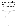other times you may feel your mind is too restless to feel the Stillness or that you cannot focus enough on it. At such times it's useful to read and apply the Self-Inquiry chapter. Try to find this sense of "me" within your being that cannot focus. Where actually is this "me" that cannot meditate right now? Search yourself and see if you can find an object. The very looking will begin to dissolve the excess noise and movement that seemingly blocks your ability to notice the Stillness.

Also, whenever you feel the urge read the "Short Cut" chapter and apply it.

**Stillness is not the absence of movement of thought; it is That in which thought arises. It is That which has NEVER moved because it is in all places at all times.**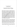# CHAPTER 8

## Noticing the Sense of Being

Each moment we can look at our mind and see that it is always trying to get somewhere or become something. In the usual state of mind there is always an intention to get more of something, to get rid of something, to sustain a nice experience or to be free of an unpleasant one. When we are mature enough in our pathway, we can see that what we call mind is really just a constant stream of commentary on how things are and how things should be. Our mind is not able to see the perfection that is already here and as such is always chasing some imaginary perfect end point in which we live in peace. For us to reach this imaginary end point, our mind is looking for the perfect set of circumstances when it can finally let go of needing to change anything.

Anytime we hold an intention in our mind it causes a subtle tension within us that is really an energetic attitude that "everything is not all right just as it is". Our mind or sense of being something or someone is always trying to become more, greater, freer, lighter and on and on it goes. No matter what temporary state we may achieve we will always want more.

There is something however that is not trying, doing, becoming, reaching or wanting. It does not need, desire, transcend or let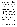go of anything. We can begin to notice that our human mind is always trying to get or get rid of something and yet our "Beingness" is just being. It is perfectly and effortlessly just Being. Not being someone — just Being. It is not even being peaceful — it is just being. It just IS. It just exists and it is perfect. It's not even concerned with being perfect or trying to be more perfect as it has no ideas or preconceptions. It is not in argument with Reality at all. It IS Reality. Mind is a movement against how things are; a rejection of what already is manifesting in some way.

We can begin to get a taste of this effortless Being that is our true nature when we see that every intention or desire we have is really a denial of what is already here. In seeing this deeply we can begin to let go of intentions and allow what is already here to begin to reveal itself. We must go beyond the common objection in our mind that to let go of wanting something to change means it will not come. In truth the opposite is true; the sooner we let things be as they are, the sooner what we desire can come to pass. Holding onto desire and intention means that we are resisting the fact that what we want is already here and we cannot allow it to manifest into our experience.

### The Practice of Noticing the Sense of Being

Each day set aside as much time as you can to simply sit and let go of all intentions to change how things are right now. When it comes to meditation or practice we usually have had a lot of conditioning that we are trying to achieve some positive state and so we can notice an intention arising to feel better or to have a quieter mind and simply let it go.

As we sit quietly *without any intention to change things or to have any particular experience* we will begin to feel a sense of relaxation that deepens into a peaceful state as we progress.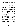By letting go of wanting peace we begin to see that it is already here. It will be seen in time that all our attempts to get something simply clouds our awareness of what is already here.

At first, it may take a conscious noticing that we are trying to get somewhere or that there is tension in the mind and body and to let it be as it is. As soon as we totally allow ourselves to simply be as we are in this moment, there will be a relaxation occurring in the mind and body. Mind may always be trying to resist what is happening but we do not have to resist that resistance. We can simply make the higher choice to let it be. If there is a wish for the mind to be quiet, we can note that it is there, acknowledge it and fully allow it to be. It is natural and normal for us to want to end suffering and have peace but we must realise that fighting a noisy mind is only going to make it worse. That would be mind fighting mind. As the Beingness itself we can simply BE and make no effort to control whatever is occurring. We can become indifferent to whatever is going on in our mind and simply observe. Observing is passive and by its very nature allowing.

 $\subseteq$ 

We simply let whatever is happening happen. We are acknowledging that how it is right now is how it is and nothing we can do will change how life has already shown up for us in this moment. We just *BE* with no intention to *DO* anything about our state. Each time that we notice attention has gone back to thoughts and to trying to change something about our experience, we can simply drop it and rest in the Beingness itself AS Being.

Note that we are "human Beings" and not "human doings". To be is enough, the rest happens by itself. Thoughts will come and go, intentions will come and go, emotions will come and go and we can simply stay only as the Beingness that is just watching. Intentions and desires and goals are of the mind

40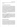and you are not the mind; you know this because you can observe it.

### The Progression of the Practice

At first the practice will feel like "I am just Being and letting go of intention". It will feel as if you are dropping everything you are carrying and resting in the Beingness. As time passes and you become more accomplished in the practice, you will begin to see that it is the Beingness that has always been observing and this Beingness is what you are. You are the Beingness that is finally being itself. It is finally able to stop imagining itself as this "me" entity that is managing its life and doing all these actions and is the thinker of thoughts. It will be seen by you that thoughts, actions, emotions and events all simply arise out of You - the Beingness.

In the end you will come to know that there is only this Beingness. That all thoughts and emotions and seemingly solid objects are made of this effortless Being and as such are the same in essence. Everything is happening by itself with no cause of anything. What seems to be manifestation occurring is simply Beingness appearing in different and unique ways. We simply watch the unfolding occur.

### Summary of the Practice

Each day take some time to simply sit and be. That means to do nothing, to sit in a comfy position and simply be. You will begin to notice gradually that part of you that is just Being and is not trying to do. It is enough that you notice this Beingness and rest in that AS that. Each time you notice that you have begun to get caught up in thought, simply return your attention to the effortless nature of your Being that is simply perfect as it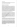is. Redirect attention back to the Being over and over as many times as it takes in the practice session.

### Resistance to the Practice

Resistance to simply Being may occur as your mind tries to tell you that just observing and Being is irresponsible. It may also feel like you are letting go of control and this can bring up some fear. It is important to stand your ground and know that everything is happening by itself. There is no imaginary thinker of thoughts or doer of deeds. This is simply an idea that has held us captive and now it's time to align with the Being that is not doing anything. Align with it and move into an effortless space where everything you need will come to you.

Over and over again you will be pulled back into the illusion that you are choosing, doing, reaching and trying to get to some perfect place where no suffering occurs. You must remind yourself again and again that *all suffering is in the mind* and that you are the effortless Being that is not on a journey. You are timeless Being itself and time happens inside you. The seeming journey will continue in front of you as you rest as the Beingness.

 $\subseteq$ 

If resistance continues then re-read the "Self-Inquiry" chapter and the "Short Cut" chapter and apply them. Ask yourself what is aware of this resistance and is IT affected by the resistance?

**There is within us all, this essential core that is just Being. It is the potential from which all manifestation arises. Rest as the Beingness and do not allow yourself the vanity of believing yourself to be the cause of thoughts, words and actions. Stop trying to manage your life and know that you are life itself.**

42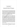# CHAPTER 9

## Noticing the Sense of Presence

When we begin to really notice what we are we can observe that there is a body present, but there is also something subtle that is here which feels like a "me-ness". Something very subtle is present and we can sometimes notice it in and around the body as a sense of us. It has been described as a sense of a Presence and we can begin to pay more attention to that than the thoughts we have passing through our mind.

Getting in touch with the sense of Presence is easier if we can gently ask the questions "What am I?" and "Where exactly am I?" Allowing these questions to penetrate deeply into our being, we will notice that the answer comes as a Knowingness rather than a thought or verbal answer. We will begin to feel our essence as a kind of subtle energy field or Presence. Something is here and is sentient and awake and when we let go of trying to define what it is exactly and feel for the answer we can find our experience changing. Presence can feel much more expansive and peaceful, open and free, compared with the sense of being someone with a fixed identity and ideas about our own self.

Notice that something is undeniably present in this moment and let go of naming it and immediately you will notice an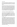expansive Presence begins to make itself known to you *AS* you. It has been called many names but it is more subtle than the physical body and easily missed if we are not paying attention.

Noticing the sense of Presence is noticing the sense of "hereness" and "now-ness" of our Being. "Here" is not the location of the body in a room; it is the sense of being present and aware. "Now" is not a time on the clock that comes before "later" but rather a sense of something being alive and awake right now in this moment. Being present to this Presence will allow you to live in the effortless place and we can discover that our very own sense of Presence is in fact the Presence of God.

### The Practice of Feeling the Sense of Presence

Take as much time as you can each day to simply sit down in silence and notice the sense of Presence. The more you pay attention to this sense of Presence the stronger it will seem to get. You need not sit in any particular position but as with each of these practices it is best not to lie down as you may fall asleep.

Simply sit and notice the Presence and any time you notice you are focusing on thoughts, bring the attention back to the Presence. There is no special way to stop the attention from drifting off with thoughts so do not waste time looking for one. As with all the methods described in this book, the success is bringing the attention back to the Noumenon each time it has drifted off. If you sit down for 20 minutes and your attention goes with thoughts 50 times, the successful practise is bring attention back 50 times. Simply do this and you will succeed in dissolving the separate sense of self and all suffering will cease. This IS the way that all awakened beings have reached total Realisation of the Self.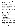### The Progression of the Practice

At first when you begin the practice it may feel like "I am in the Presence"; that there is a "me" that is focusing on the Presence. As you progress, it may begin to feel like the Presence is getting stronger but it is not. All that is happening is that less attention is going to the thoughts and more to the Presence. You must allow yourself to fall in love with this sense of Presence because it is what you are.

Soon it is seen that Presence is simply being present to Itself and there is no "me" other than a thought appearing in this Presence. In the end there is simply the profound Presence and peace.

### Summary of the Practice

Simply sit and notice the sense of Presence and each time your attention becomes distracted you must bring it back to the Presence. Do this as many times as is necessary in your practice session.

### Resistance to the Practice

You may notice that there is resistance to practicing or to feeling the sense of Presence. When this happens it is usually because our mind is making too much noise to seemingly be able to sense the Presence. It is usual to have some times where we just don't feel like sitting down to pay attention to Presence, but if it continues then it may be that our mind has distracted us or perhaps a particular thought pattern or emotion is coming strongly. Whatever the resistance that comes, it is important to remember that you are stronger than any thought or feeling and to remind yourself why you wish to be free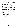of suffering. *Resistance is suffering* and you simply need to become determined to progress. Most spiritual students fail to see this through but you are different. You chose to pick up a book like this and therefore you will make it.

If resistance continues read the chapter on Self-Inquiry and apply it. Notice that the sense of Presence must be here first for the sense of "me" to appear in; therefore nothing can block your ability to sense this powerful Presence. If you believe a thought which says you're blocked, then you will have a real experience of feeling blocked. Presence is NOT an experience; it is eternal and here and now. It is here before you even ask if it is here.

Also you may find it helpful to read the "Short Cut" chapter and apply what you learn. Continue with your practice as soon as possible.

**Presence is the basic sense of existence not polluted by any identity or "me-ness" and as such is worth striving to be able to sense all the time. Nothing can hide this Presence from you because it is you.**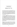# CHAPTER 10

# Staying in the "I Am"

The only thing we can know for certain is that we are. You know only this with absolute certainty. You know that you are. You know the sense "I Am" and this has been your constant companion with you throughout your life. This feeling that "I Am" is your basic currency, your working capital and you can use it to reach total liberation by focusing on it to the exclusion of everything else.

It is important to clearly understand what the "I Am" is. It is not the thought "I am" which comes AFTER the knowing that "I Am". When you wake up in the morning after a night's sleep you know you are here again and you do not have to think about it. If you regain consciousness after an anaesthetic you do not have to think about whether you exist or not. You know immediately that you ARE and thought will happen after. To even have the thought "I am" then you must BE already to notice the thought.

Staying in the "I Am" is simply the practice of noticing this thoughtless, wordless place called "I Am" and it is as simple as that feeling when you first wake up in the morning. It can also be recognised as that pure stateless state that we knew as infants before we began to think about what we are.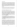Noticing the sense "I Am" is easy but staying only in that sense may be difficult at first. There will be a tendency to think about the fact that you are. It is easy to bring yourself back to noticing that you are if you want to. Whatever thought has seemed to distract you, simply recognise that you could not have any thoughts pass through your brain if you were not here first to see them.

Gradually you will come to see that "I Am this sense of I Am". You will see that you are life itself. Life IS and You are That.

### The Practice of Staying in the "I Am"

Simply sit down each day and take some time to notice this sense of "I Am". Sit for as long as you can and each time you realise your attention has gone back to whatever thoughts are going through your mind, go back to noticing that you are. Thoughts may come and go, emotions may come and go but you must keep your attention on this sense of "I Am" for the duration of the practice session.

 $\subseteq$ 

It is important to know that nobody can keep attention on the "I Am" all the time. It is natural and part of being human to have our attention wander frequently, but those who will succeed will notice this and bring their attention back to the "I Am" as soon as possible.

You need not sit in any particular position and it's more important that you are comfy and can sit for a few minutes. As you continue to practice each day you may notice that in time you begin to sense the "I Am" at random moments during the day too. It begins to be seen that this pure sense "I Am", which is here before thoughts, is also here when thoughts are present although it may seem to be covered up by the noise of the mind at first. You will come to see that the pure "I Am"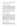is always available and peace is ever present if we choose to notice it more than the noise of the mind.

### The Progression of the Practice

At first your practice may feel as though you are staying in the "I Am" more and more. It will feel as though you are a separate "me" noticing the "I Am" feeling/sense. As you progress in your practice you will come to see that it is in fact this "I Amness" that is really watching itself. The thought "I am watching the I Am" is appearing in That which is there before any thought.

Gradually we can come to see that all of life is this "I Am" and that there is nothing outside of this. The "I Amness" finally comes to see that "I am this I Am".

### Summary of the Practice

Take as much time as you are able to each day to notice this pure wordless and thoughtless place that is here before any thought occurs. It is here at all times and we must put attention on it. As we put attention on it, the idea that we are a separate being, isolated and alone, will gradually begin to dissolve. Be disciplined with regular practice sessions and do not expect any particular results. Simply be concerned with bringing attention back to the "I Am" each time it goes with the phenomena of thoughts, feelings and sensations in the body.

### Resistance to the Practice

The biggest resistance to the practice may come because you might have the idea that you cannot find this sense of "I Am" or you do not know what it is. This "I Am" is simply your current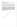awareness or that feeling that "I exist". Stay in that simple sense/feeling as often as you can.

If resistance continues then re-read chapter 21, "Self-Inquiry" and chapter 22, "Short Cut", and apply them. Ask yourself what is aware of this resistance and is IT affected by the resistance?

**The sense that "I Am" has to be here before you can have any experience at all. See this clearly and deeply and peace will begin to permeate your life. You must have existence before anything else can happen to you. Simply pay more attention to this sense that "I Am" than anything that comes after it.**

AVE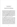# CHAPTER 11

## Tuning Into the Awakeness

Each morning we notice that we are awake and that sense of being awake before any other thoughts come is the focus of this practice. The key with this practice is to notice that sense of Awakeness and exclude all other sensations and thoughts. It is important to know that you can only pay attention to one thing at a time, so if you are noticing the sense of Awakeness then you are automatically excluding everything else. You do not have to make an enormous effort to keep thoughts out of your mind as this is simply not possible; it is enough to pay attention to what you are, which is this Awakeness.

Each morning, something seemingly wakes up from sleep. We just assume that this is "me", which is a sense of being someone; it feels like "I am awake". If we really slow things down and look at what happens when we wake up, we can see that there is this Awakeness present even before our eyes open and before the thought "I am awake now" comes. In truth all we really know for sure is that something is Awake. Some sentience is here and seems to wake up. Some intelligence is here and is aware of its surroundings. If we can disregard thinking about what we are then we will notice that all we really know is that something woke up and this basic sense of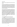Awakeness is with us throughout the day until we go to sleep at night.

As we focus on this Awakeness only, we will find peace. But if we hold onto the idea that "I am awake" we will be perpetuating this sense of being a separate person. We do not have any proof at all that we are a person or that this person woke up this morning. All we know for sure is that something woke up and we don't know what. It is enough to not know. Stay in this basic sense of Awakeness.

As you move about the day, thoughts will come and go and distract attention to the sense of being "me" that is living my life. It is important to take time each day to notice that the sense of Awakeness that we noticed first is still here. We have to be Awake and Conscious before we can have any thoughts run through our brain. We have to be Awake to even get distracted. Notice how you always have this sense of Awakeness with you during the day — this is in fact why it is called the "waking state". Stay in that simplicity and make no attempt to define what you are.

 $\subseteq$ 

### The Practice of Tuning Into the Awakeness

As we have said before, you can only be aware of one thing at once so it is important to know what to focus on. Most of the day, our focus is automatically going to our sense of identity as a "me" and the thoughts that pass through "my mind". Therefore, we must take some time each day to sit and notice only this sense of Awakeness that is present. It is here all the time but we must choose (was chose) it willingly. To choose it we must only notice it and keep redirecting our attention over and over to it when focus wanders.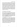Over time it will become apparent that Awakeness is awake but we cannot find any entity called "me" that is awake. By tuning into the pure sense of being Awake we are automatically dissolving the separate sense of self that feels "I am awake". It is that simple. We are either perpetuating the sense of being someone or dissolving it. We dissolve it or perpetuate it with our focus. Attention is really our only faculty and our only choice is what to put the attention on. We can either put it on Truth or falsehood. You must come to a decision point of deep conviction that you want only Truth and maintain your focus on it long enough, consistently, until there is no ability to seemingly lose sight of Truth left in you.

### The Progression of the Practice

When you first begin to notice this pure Awakeness, it will seem like it can easily be obscured by thoughts. Thoughts pass by and our attention automatically goes with them, to look at them, out of force of habit. You cannot remove this habit of paying attention to thoughts but you can replace this habit with a new one. You can either pay attention to the thoughtless, wordless Awakeness or to the thoughts that arise in it.

It will feel as though you are making an effort to notice the Awakeness at first, but as you persist in building this habit it will become effortless at some point. *Consistency is the key here*. As it becomes effortless to notice and stay in that simple Awakeness, your true nature will begin to reveal itself to you. You will come to know that all thoughts appear after the Awakeness is awake. Nothing can occur without the Awakeness here first to perceive it. Even the thought "I am awake" must appear in this Awakeness which was already here.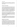Eventually it will be seen that Awakeness is recognising Its own nature and there never was any separate person to be awake or asleep.

### Summary of the Practice

The practice is simply to take some time each day, as much as you can, to notice the fact that you are Awake. There is a sentient, intelligent Awakeness present and you simply need to notice this and prefer this state to any other. When you find attention has wandered to the thoughts appearing in the Awakeness, bring attention back to the simplicity of the Awakeness. It is not the thought "I am awake" but rather that state which must exist first before any thought can come.

Do this practice as much as you can each day. At times during the day you may notice the sense of Awakeness spontaneously appearing evident to you. This will happen more and more until eventually you can notice it even when your body is moving and your mind is busy.

At a certain point you will realise you ARE this pure Awakeness noticing Itself and you are not the thoughts that appear in it. Confirm this over and over until you cannot forget it anymore.

### Resistance to the Practice

The biggest resistance to the practice may come because you notice there are times when you feel you are unaware of the Awakeness and lost in thoughts. Perhaps at first there may be long periods of time where this seems to be the case. This is normal at first and happens to everyone. The key to breaking through this apparent block is to really understand deeply that you must be here and Awake first, before any block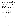can be noticed. Any block is noticed by you and it can only affect you if you believe yourself to be an object called "me" appearing in the Awakeness. Once you see that Awakeness is constantly present, it becomes obvious that you must be that Awakeness. If you are the silent, invisible, formless, intangible field of Awakeness Itself, then what thought or feeling can possibly block you?

If resistance continues then re-read chapter 21, "Self-Inquiry" and chapter 22, "Short Cut" and apply them. Ask yourself what is aware of this resistance and is IT affected by the resistance?

**Awakeness has to be present first, before anything else can be noticed. Without this Awakeness to observe the world, then no world actually exists. Confirm this for yourself and confirm over and over that there is no entity that is awake; but it is in fact Awakeness that is awake.**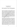# CHAPTER 12

## Be Conscious of Your Consciousness

Everyone has something we all take for granted. We never notice our Consciousness at all until we are under threat of losing it. Consciousness has many qualities but the main one we will focus on here is the power to observe. Consciousness feels like "I" when it observes through a body and when it believes it is the body then it begins to think of itself as a "me". This is how our sense of being separated and isolated came. Most of us let our attention go right to what we are Conscious of such as our thoughts, emotions, relationships and world at large; but as part of this practice we will spend some time each day noticing that we are Conscious.

The key with any of these practices is to ignore the mind's idea that it is simple and easy and quick to do. This must be a continual noticing for periods each day as in meditation. Our mind would like to quickly look and ask "Am I Conscious? Yes I am Conscious. Ok next, now what?" If you allow your mind to dictate this to be a one time noticing then you are robbing yourself of a golden opportunity. Mind likes complexity and would rather think about what you are. You are simplicity itself beginning to notice itself and at first you must make a little effort to not allow your attention to run away. The process of dissolving the separate sense of self is not a "to do" list with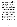option five saying "be Conscious that you are Conscious". You do not notice it and say "Ok done that, check!" It is a process of noticing the obvious and staying in the clarity and simplicity of holding attention on the simple fact you are Conscious.

Each morning this Consciousness seems to appear and we take it to be permanent until each night it disappears and we go to sleep. At some point the Consciousness will go for good as the body expires and you will seem to die along with it unless you maintain steady attention on the Consciousness.

As with each one of these practices, steady attention on the Consciousness will allow it to reveal something amazing to you. It will reveal to you what you are; what is beyond even this waking state that feels like "I am Conscious". If you need some help to find motivation then consider how fragile this Consciousness is. One needle of anaesthetic and you are gone. One injury to the brain and you might be seriously impaired in functioning. One overwhelming experience and you might faint and are gone. I would urge you to find out what does not go. It never came. It is right here now seemingly being obscured by this sense of "I am Conscious". Focus on this sense that "I am Conscious" until it merges and disappears into what has always been here. Stay in the simplicity and each and every time you find yourself drifting along with thoughts bring your attention back. When you have had enough of suffering you will call upon the strength, courage and conviction that is already within you but not yet been activated. You will go beyond any limitation and see how free you have always been.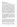### The Practice of Being Conscious of Your Consciousness

You can only be Conscious of one thing at a time; attention can only focus on one thing at a time. You will know this for certain if you try to think two thoughts at the same time. Focus your vision on a spot on the wall right in front of you and then try to focus your vision on your feet at the same time and you will see it cannot be done. The great power of Consciousness is its ability to observe. Observing or witnessing thoughts, emotions, people, events and relationships is a kind of focus on them and reinforces the idea that there is a separate "someone" here observing "them" over there. Even when we observe our thoughts it will only serve to reinforce the belief that there is a separate "me" that is here and witnessing these thoughts. Observe your thoughts long enough only to see that you are not them and then turn your Consciousness back upon itself.

Whatever you focus upon you will make disappear. If you observe anything long enough you will see that the name and other descriptive thoughts about it seem to disappear and all that remains is the "Isness" of that thing. You might have noticed that as a child if you ever repeated out loud a word over and over, after a while it loses its familiar meaning and sounds strange to say it at all.

 $\subseteq$ 

In this practice we are being Conscious only of the fact that we are Conscious. Notice the instruction was not to notice the THOUGHT "I am conscious" but to notice the SENSE of Consciousness that is here before any thought. You have to be Conscious before you can notice the thought "I am conscious". Stay in that noticing of the wordless place before thought.

The fact is that you are Conscious now or else you would not be able to read this. Consciousness comes before anything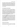else is able to be observed. Confirm this fact for yourself. If Consciousness must be present before anything else can be observed doesn't it make more sense to put attention on that Consciousness only, rather than what you are Conscious of? To find out what you are simply pay consistent attention to the Consciousness rather than the objects you are Conscious of, such as thoughts.

### The Progression of the Practice

At first as you start the practice it will feel as though you are being Conscious of your Consciousness. It will feel as though you have a choice what to focus on; the sense of Consciousness or the thoughts going through the mind. You must exercise your power of choice and focus consistently on the Consciousness itself until it is automatically chosen; until paying attention to thoughts becomes so uninteresting that you simply disregard whatever the mind tries to sell you.

As you continue the practice you will notice that you are falling in love with Yourself and want more and more to be with Yourself in the truest sense of the phrase. Being Conscious of the Consciousness is the most intimate way to be with yourself. Thoughts are external to you and you will begin to want only this pure Consciousness itself. Soon the idea that you are Conscious will disappear and it is seen that there is only Consciousness that is noticing itself. Eventually even the sense of something subtle noticing itself will go and there will be only This That You Are.

### Summary of the Practice

Set aside some time each day to sit down (in any position) and be Conscious of your Consciousness. This is as simple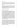as noticing that there is Consciousness ALREADY present. As soon as your attention becomes hypnotised by thoughts you must bring yourself back to noticing only that you are Conscious.

Consciousness will repeatedly become focused on the thoughts passing through and this is normal. Everyone goes through this stage and nobody found a shortcut to it other than bringing attention back over and over. Repeat this for as long as the practice session continues.

#### Resistance to the Practice

The majority of people who follow this practice will experience a very similar type of resistance. The thought will soon come that this is boring and attention will wander back to the seemingly more exciting thoughts coming and going. Your role in the process is to keep your focus on the Consciousness long enough that the pull of thoughts begins to lose its power. You are making a higher choice that involves turning away from the receiving the temporary "fix" of identifying with the thoughts and the drama of the sense of "me" and all that is happening to it. As you turn away from this neurochemical transmitter "high" that we get from buying into the thoughts then you will begin to experience a profound sense of peace and that everything is in fact totally ok right now.

 $\subseteq$ 

Your mind will try to distract you and bring attention back to it by telling you that this practice is getting you nowhere; or that you are not taking responsibility for your life. It will use its tricks to get you to stop the practice and this in itself should tell you that you are on to something. The power of this practice is in its simplicity and your mind knows it is losing ground. Hold your attention on the sense that you are Conscious and watch for the tendency to get distracted.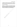*Dissolving The Ego*

If resistance continues then read and apply the chapter on Self-Inquiry and on Short cutting the process. It is natural for the mind to resist this practice because it knows that you are near the end of suffering**.**

**Everyone is Conscious and everyone takes this Consciousness for granted. Will you take it for granted? Stay in the simplicity of only knowing that you are Conscious. Be Conscious of your Consciousness.**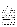# CHAPTER 13

## Noticing the Existence

The fact is that you exist. This is the one undeniable fact in all our lives. We can argue about anything else and we can even argue about what we exist AS but we know for absolutely certain that we have Existence. If we allow ourselves to finally admit that this is the only thing we are certain of then we are getting somewhere. Suffering occurs when we feel as though we know what we are and are sure of it. In the normal human Consciousness we are all convinced that we are individual, separate from each other and from life. We assume this about ourselves and this is reinforced by programming over the years. Once we have accepted this we never question this until we suffer so much in this limiting definition of who we think we are that we are forced to look deeper.

This practice is aimed at getting the focus of attention back onto what we know for certain. As much as our mind may resist this eventually we must come to a moment of honesty where we finally admit that all our thoughts about what we are have not been proven. The only thing we know for certain is that we exist. There is Existence, nobody can deny this. What we exist as is still open to be seen. We cannot find this out by thinking about what we are. Thinking about something is NOT the same as Knowing. Thinking about something is NOT the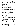same as Being it. In much the same way we could think about what it is like to be Chinese, write a book on Chinese culture and to learn to speak Chinese fluently but it is not the same as actually being born and raised in China.

Our mind can only know ABOUT something and not actually Know for certain. Mind is a tool for analysing and thinking about things, coming to conclusions and understandings. To truly know something is to BE it; we can only know what it is like to be Chinese by actually being Chinese. Search within yourself and see that all that has happened up to this point is that you have noticed and listened to thoughts about what you are. It is not your mind's fault that it cannot know what you are; it is not supposed to.

Keep attention on what you know to be true only and what you are will be intuitively revealed to you at the right time. You will know it because you will BE it. You can only think about and know about what you are not.

## The Practice of Noticing the Sense of Existence.

The practice is a simple one just like all the others in this book. The key is to simply notice that sense of Existence-something is here and enjoying an Existence. Take some each day to notice what you know to be true which is only that you exist. This is not the same as thinking "I exist" as this is a thought. You must exist before you can notice thoughts arising. Stay in that simple Existence and each time your attention is drawn to thinking about what you are or any other thoughts bring it back to this simple Existence.

Over and over again the mind will try to hook you with thoughts that you are making progress, thoughts about Existence, thoughts that you are getting nowhere and even thoughts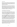about how you are not thinking much anymore! Notice these tricks and stay firmly put in the sense of Existence. It is the thoughtless and wordless place that must be here before any thought can pass through it.

Spend as much time as you can each day in this sense only. Bring attention back over and over and do not look for any results. A wandering mind is just as likely on the first day of practice as the last day before the ego vanishes. The number and frequency of thoughts is no measure of progress. Forget about progress and stay put in your conviction.

## The Progression of the Practice

At first you will feel as though there is a separate you that is noticing the sense of Existence. There will be a sense that "I exist as me in this body" and that is ok. You must use this seemingly separate existence to focus only on Existence itself.

 $\subseteq$ 

As you continue your practice each day you will notice that you begin to feel this sense of Existence at random times, when your mind is quieter or you are doing some task that does not need much mental focus. It will begin to make itself known to you more and more often and you may find that you begin to fall into this quiet peaceful sense of Existence; rather than having to look for it and sit down quietly alone to notice it.

Eventually it will occur to you that you are Existence Itself noticing Itself. You are life itself, not a person who is alive. You are all of Existence showing up right here and now; not a person existing for a time and then perishing. Existence is experiencing Itself through this mind and body but it is not separate from the whole; it IS the whole.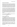## Summary of the Practice

Set aside some time each day to sit down (in any position) and notice that you exist. This is as simple as noticing that there is Existence already here. Make no attempt to figure out, analyse or think about what you exist AS. As soon as you become aware of thoughts and pay attention to them you must bring your attention back to looking only at this sense of Existence.

You can only be aware of this Existence OR the thoughts that are arising in it. You can only notice one thing at a time. It is up to you to bring your attention back each time to Existence and be disciplined. You have spent many "lifetimes" being a separate "me" and watching the end of this Existence seemingly occur. Wouldn't it be better this time to find out directly if you can actually perish with the body? Stay only in this sense of Existence.

There is only Existence noticing itself. The thought "I exist" can only be seen once you exist first to see it.

## Resistance to the Practice

As with all of these practices resistance will come in the form of thoughts about the practice and how to do it better. You will be tempted to analyse how you are doing; to focus on pleasant or unpleasant feelings and emotions as they surface. Notice this tendency to get distracted and focus your power by repeatedly bringing yourself back to the simplicity of Existence. You exist before any thought can distract you. Are you even distractible?

If resistance continues then re-read the chapter on "Self-Inquiry" and the chapter on "Short Cut" and apply them. Ask yourself what is aware of this resistance and is IT affected by the resistance?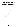**Existence is all of life and when it flows through a body it feels like "I exist" and we take this for fact. Stay in this sense of Existence and cease using your mind to define what you are. Peace will come upon you and stay if you can resist the complexity of thoughts. Mind is complex; Existence is simplicity itself.**

> OF V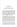# CHAPTER 14

## Being the Contextual Field

Consciousness can appear as form or formlessness. We could say that form arises out of formlessness. We know much about the form or content of Consciousness as this is the "thingness" that we know so well. We are taught to focus on the content of our Awareness as a priority and to ignore totally the context. What does this mean in our experience? It means that we do not see our own Self IS the Contextual Field and that what we THINK we are is actually the content of the Field.

When we look for ourselves through Self-Inquiry all we can find is the subtle feeling of "I am here" but we cannot actually find a location to that self. We begin to see that this "I sense" is actually the formless Contextual Field of Seeing. The sense that "I am here" or "I exist" is simply the first content of the Field that we are. Thoughts are the first content that fills our Field. By our very nature, we are more like a Field of space than an object that has a location in time and space. Our body has a location and is affected by time and space but we are not.

We can learn to refocus our attention on the Field itself rather than on the thoughts occurring in it. We can put our Awareness on the space that thoughts are appearing in rather than the thoughts themselves. When we do this we begin to see that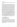nothing could exist without this Contextual Field here first for it to appear in.

No-thing could appear without this Field of no-thingness for it to arise in. Form relies on the formless for its Existence. Without the formless Contextual Field then no thought, emotion, event or relationship could appear in it. Our bodies which are solid objects need this context to appear in and to sustain them; just as the clouds need the sky in which they appear. Content can only appear against the backdrop of context. We know this because we can realise we can only hear the objects of sound against the context of Silence. If we try to listen for a sound in amongst a background of white noise we will not hear it. The Contextual Field is invisible, intangible, ineffable and yet is totally here, now and everywhere. It is omnipresent and never began nor can it have any ending. Beginnings and endings can only occur to the objects appearing in this Contextual Field but not to the Field itself. Through this practice we can begin to see we are the Field Itself and not what is appearing in it. We have taken ourselves to be the "me" which is this subtle content or "thingness" that appears when the body appears. In Truth we are the "no-thing-ness" in which all objects are showing up.

 $\subseteq$ 

## The Practice of Being the Context Rather Than Content

At first you can simply start by noticing that without this formless Field being here already you could not see what thoughts and emotions are appearing in it. Simply said you must be here first before you can observe anything. The Contextual Field is that silent Awareness that is just observing without comment or opinion; it just is.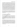The practice is to sit down each day for some time in any position that is comfortable and direct your attention to the fact that there is a silent invisible space like Field of Awareness present. As you begin it will feel like "you" but that is all right. We must all start from this feeling that what I am is a kind of diffuse "me-ness". Notice this subtle Field that you are and disregard any content that appears in the Field. You need not try to get rid of thoughts but simply redirect your attention to the Contextual Field itself. In this way the Field begins to focus upon Itself rather than focusing upon the content appearing in it. Time and time again we will be hypnotised into focusing on the thoughts that come rather than on what is aware of all this.

Each time attention goes with thought simply bring it back to that invisible Field that is the context in which all things are arising. Do this as many times as is needed throughout each practice session.

#### The Progression of the Practice

When you first begin this practice you may have a sense of "I am in the Field" and that is where we must all start from. We think of ourselves as a "something" or "someone" that is appearing in a larger Field. At this stage you might notice the feeling that you are "tuning into" the Field or context of your **Existence** 

As you progress and become more awake you will see that in fact you ARE this Contextual Field and the sense of you as a person is actually appearing in this infinite You. Eventually you will come to know that all there is IS the Contextual Field and that any seeming content is simply the Field appearing AS something. The Field can appear as nothing or something but it is still the field.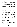At first it may seem that you have to sit down quietly to notice the Field and ignore all other distractions but as you continue each day you will begin to notice the Field at spontaneous moments. Gradually you will be able to sense the subtlety of the Field itself at any time and no matter what you are doing. In the end you will see that it is the Field noticing itself and that in fact you cannot lose Awareness of the Contextual Field because you ARE the Field.

### Summary of the Practice

Take some time each day to notice that silent Contextual Field that is here. Notice this Field and confirm that it must be here first before anything else can appear in it. Each time that your focus gets caught up in thought you must bring it back to the silent Contextual Field. Attention will go with thought over and over as we have been trained to be fascinated by the movement. This is simply a habit that can be replaced by cultivating the habit of focusing on the "nothingness" of the Field.

 $\subseteq$ 

Each day take as much time as you can to notice and pay attention to the Contextual Field. Confirm again and again that you are the Field Itself and not the content appearing in it. Subtle content like thoughts is still content. Even the "I/me" sense is the content.

#### Resistance to the Practice

If you experience resistance to practicing that is normal. Our mind has been conditioned since our early development to focus on the content and to totally ignore that which is seeing the content. You are aware enough to know that this does not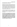bring lasting happiness. Identifying with this sense of "me" is really setting yourself up to suffer more.

Develop the conviction that no matter how many times you may get distracted you can always bring attention back. Only one in ten million have awakened fully in the past because they have not had the information, conviction and guidance to do so but now this is changing. The evidence is in your hands and the fact you are reading this means you are ready to finally wake up from this dream. Gather your focus and KNOW that you cannot fail unless you believe you can.

If resistance continues then re-read the chapter on "Self-Inquiry" and the chapter on "Short Cut" and apply them. Ask yourself what is aware of this resistance and is IT affected by the resistance?

**As you come to see that what you really are is formless and nowhere to be found in particular you must confirm it over and over again. As you confirm it then the tendency to think of yourself as a "something" or "someone" will disappear and all fear will leave you for good. What can possibly harm you if you know yourself to be the invisible Context in which all is happening? You are the invisible and intangible Contextual Field that is inside, underneath and before the tangible and visible world.**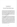# CHAPTER 15

## The Ever Present State of Here

This practice is simply one of noticing that no matter where you are in the world, no matter what you are doing or who you are with it always feels like you are Here. There is a simple "Hereness" about wherever you are. Even if you journey to the end of the universe (if that were possible) it would feel like "I am Here" when you got there. It would never feel like "I am there". "There" is a position in time and space that only has relevance if this sense of "Here" is present.

"Here-ness" is not a geographical location in time and space; it is not a place somewhere on a map. It is a sense of being Present in, around, outside of and before this body was constructed. If you notice when you wake up in the morning you will see the feeling of "I am Here again" is really what is happening. "Here-ness" is an intelligent Field of energy that is perceivable as a constant in your life. Look back at any experience you had previously and confirm that it always happened "Here" and that it always felt like "I am experiencing this Here and Now". It is not possible to get away from this "Here-ness"; even if we say "oh I was daydreaming and I was somewhere else for a minute" it was still happening Here and now.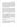This "Here-ness" is a subtle Presence that is noticeable but not by our normal senses. If you have ever noticed a feeling that something or someone is behind you and turned around to look but found nothing; notice with hindsight that the feeling was as if something or someone was approaching the proximity of your "Here-ness". Some Presence touched your subtle Field of "Here-ness" and you noticed this. How would this be possible if you are only this physical body?

This sense of "I am Here" is the feeling of being "someone" that is located in this physical body and that is how the practice must begin. As you continue in your practice you will notice more and more simply the sense of being Here comes upon you and it is not a thought "I am Here". You begin to notice simply that "Here-ness" is constant and "I am Here" comes and goes because it is a thought appearing in the "Here-ness" itself.

"Here-ness" is not just where you are; every sentient being is having this same feeling of "Here-ness". Consider for a moment if it were possible for you to inhabit another body than yours. If somehow your Consciousness could be put in another person's body it would still feel to you in this other body as if you were "Here". You would look back at your original body and it would be "over there" and not Here.

You can only think a thought "Here" and you cannot think a thought "over there".

You can only smell a smell "Here" and you cannot smell it over there. It is registering in consciousness "Here". You cannot feel any emotion or have any experience "over there". It has to be felt or experienced "Here" and "Now".

73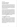## The Practice of Noticing the Ever Present "Here-ness"

The practice is very simple here as always; take some time each day to sit down and be alone. Put your attention on this sense of "Here-ness" and keep it there. Do not try hard to hold attention on the "Here-ness" but simply notice when attention has gone with thoughts and bring it back to the simple sense of "Here-ness". At first it may feel as if "I am Here" is what is being noticed and that is ok.

The practice is to take attention away from what is happening in the "Here-ness" (such as thoughts about what is here, why you are here etc, emotions, events, noises in the environment or sensations in the body) and put it only on the "Here-ness" itself. Over and over again during the practice session you will find attention has wandered again. There is no need to analyse why you get distracted-this is simply your mind's way of distracting you even more. Stay focused on the sense of being Here and turn away from all other sensations and thoughts.

## The Progression of the Practice

As you begin the practice you may notice the thought appearing that "I am Here" and this is ok, as soon as you are able to put attention on the "background" of "Here-ness" in which this thought (and every thought is appearing). It is a shift of focus from thoughts to that which thoughts arise out of. Thoughts can only appear in this "Here-ness" and so as you continue your practice it will seem as though more and more you are able to notice the "Here-ness" directly. Thoughts will seem to become less and less relevant.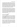You will notice certain thoughts coming up that seem to magnetically pull your focus away from the Noumenon and you are noticing the thoughts that are appearing in the "Here-ness". Remind yourself that you can only focus on one thing at once and confirm your conviction to wake up fully. It is just a thought that says "certain thoughts are harder to turn away from than others". Thoughts are all the same; the only difference is what meaning, relevance and belief power we give them.

As you progress further the sense that "I am Here as a separate person" will begin to recede and the "Here-ness" that is unchanged by any experience will show itself to you at random moments unasked and unsearched for. In the end it will be seen that you are this "Here-ness" and the feeling that "I am Here" was just a repeated thought that came with having a physical body for a short time. "Here-ness" is noticing It's own inherent omnipresent nature.

#### Summary of the Practice

Set aside some time each day to sit down (in any position) and notice this sense of "Here-ness". If you have any difficulties tuning into this start with the thought "I am Here" and then go beyond the thought to see that this thought can only appear when you are "Here". "Here-ness" is noticeable because it must be here before any thought shows up and is recognised.

Each time you notice attention has gone with thoughts, emotions or sensations in the body simply bring it back to the "Here-ness" feeling. Do this as often as is needed each practice session and pay no attention to any thoughts about your progress and how it is going. These are all irrelevant distractions that are tricks of the mind.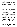Notice the "Here-ness" in moments when you are not formally meditating when you can too. It is easier to do this when the mind is not too busy and when doing tasks that seem mundane and perhaps boring. Tune in as often as you can and It will begin to tune in to you!

### Resistance to the Practice

It is very normal to notice a lot of resistance to practising especially at first; as you persist you will find that the resistance falls away. It only comes because you think that it can stop you. This is just a thought. You are that "Here-ness" in which the thoughts about resistance and the resistance itself is appearing. Recognise this and you will come to see that nothing and no thought can stop you. Confirm this. Even resistance, a feeling of restlessness or other distractions can be used as part of your practice. Resistance can only happen "Here". A feeling of restlessness can only occur "Here" and not "over there". Use whatever your mind serves up to you as fodder to help you realise your true nature.

 $\subseteq$ 

If resistance continues then re-read the chapter on "Self-Inquiry" and the chapter on "Short Cut" and apply them. Ask yourself what is aware of this resistance and is IT affected by the resistance?

**When is it not Now? And when are you not Here? You can only arrive somewhere else "Now" and when you get there it will feel like "Here". You cannot reach your destination earlier or later; only Now. You cannot arrive at the "somewhere else" place because when you do it will feel like "Here"**

**You are this "Here-ness" and "Now-ness". They are your constant companions throughout your entire life and are your Immortal Self. These are the keys to end all suffering.**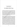# CHAPTER 16

## The Stateless State of Now

Throughout your entire life and even in this moment there has been one thing that has been constant and that is the "Nowness" of this moment. There is something unique and alive about this moment that is happening that is not present when we think of the past or the future. When we remember the past all that is really happening is neurons are firing in our brains to recall Now. When we worry about or imagine the future we are actually doing it in this moment Now.

Reality is this Now and it is beyond time and space. If you look back at any moment you have experienced you will notice that it was stamped with this feeling of Now. The "stateless state" that is Now and Always is ever present and it is this Now-ness that gives everything you experience its feeling of being "Real". If this Now-ness is ever-present then it must in fact be what we are. Every time we have a sense of a personal "me" that is moving through a separate existence for a set duration we can only notice it Now. When this sense of "me" first came with the body this Now-ness watched it appear. When it is time for the body to end and the "me" to end, this Now-ness will watch it disappear too. The Now is present right now. Contemplate for a moment if you can read this book any other time than Now? Can you do any action, speak any words, think any thoughts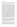any other time than Now? Whatever is happening to you is always happening Now. No other time really exists in Reality.

Now-ness is not the relative "now" of clock time; it is not earlier, now or later we are speaking about here. It is the one constant moment that is eternal. Everything is present here in this moment. There is nothing you can do to be outside of this Now and nothing you need do to return to this Now. Every time you try to do something it will happen in this Now-ness. Recognising this we can begin to see that what we are "feels" like Now-ness; a kind of ongoing moment that lasts forever. Our mind would like us to believe that each experience is happening in a segment of time and that our life is made up of many moments that can be described as now, another now, another now, yet another now and so on. When we really begin to question this we see that it is all one continual Now that has been ever-present. Look back at your life and see if any experience you have had happened "later" or "earlier". These terms of later and earlier do not exist in Reality; they are only mental constructs or concepts. Time and space only appear once we feel ourselves to be a separate entity that is bound by time and space. When we feel separate and that we are located in one place and time then distance, movement and duration of time to travel from one place to another arises.

 $\subseteq$ 

Time and space only appear once the separate sense of "me" appears. Confirm this for yourself. Even if you make an effort to "stay in this Now" moment you will begin to see that even if you feel you failed to stay in the Now, you failed Now. You cannot be anywhere other than here and Now.

When we see that this Eternal Now-ness is what we are then we can keep our attention on it and allow it to rid us of all our suffering. Suffering and struggle only occurs when time arises. As a separate "me" we spend all our life trying to get a better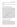moment than we had in the past. We regret the past and fear the future.

When you are this Now-ness then time stops and all suffering ceases.

### The Practice of Noticing the Now-ness

Noticing the Now-ness is simply exactly as it sounds. We can simply set aside some time each day to notice that whenever we look for it this Now-ness is ever present. Simply keeping attention on this "empty" state of Now and removing attention from thoughts, feelings, events and the world in general is enough. You are already this Now-ness and so you simply need to stop imagining yourself to be "someone" living in this Now-ness. It is enough to take some time each day to sit and notice the Now-ness. Each time your attention goes back to the "me" sense and what you are thinking, feeling or experiencing you must bring attention back to this Now-ness. As you hold attention on this Stateless State of Now you will begin to feel a sense that you are indeed much more than you had believed yourself to be. Consistently paying attention to what you already are, this Now-ness, is enough to begin to break the illusion of thinking that you are a "someone" moving around in time and space that is trying to find peace, love and joy.

### The Progression of the Practice

As you begin your practice it will feel as though you are a separate person who is experiencing this Now moment. There will be a sense that "I am experiencing Now" or "I can sense this Now-ness". This is the way we must all start and it is good. As you continue to practice you will notice that gradually this feeling of being someone who is putting attention on the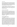Now-ness will begin to recede and you will feel more and more that there is just this Now-ness. It will become as though Nowness is recognising itself or you could say that it will be seen that the Now-ness is eternally here and this feeling of being someone separate from it is seen to be untrue.

The ultimate realisation is that Now-ness is all there is and everything is this Now-ness. This idea of "me" that was so strongly believed in is seen to be just a thought that comes and goes as necessary.

### Summary of the Practice

Take some time each day to notice this Now-ness that is always here. Each time attention moves to thoughts, emotions, sensations in the body or any noises in the environment simply bring it back to the Now-ness in which all this is occurring. Repeat this as many times as is needed throughout each practice session. Remain resolute in your resolve and wish to be totally free.

### Resistance to the Practice

Resistance to this practice may come in all the other ways described in the other chapters but also it may come because you feel you cannot sense this Now-ness clearly enough to focus on it. This is very common and normal and the way to get around this is to remember you are tuning into the Noumenon which is never going to feel like a thought, "aha" moment, emotion or sensation. We are learning to perceive that which cannot be felt through the senses; it is not a coming and going, a smell, thought, feeling or noise. We are learning to notice that which is always Here and is more of a background Awareness at first. Stop trying to look for a "something" and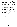notice the "no-thingness" is always there. This Now-ness does not feel like anything. It does not taste like anything and it is not an experience which will come and go. It is that in which all experience is occurring; the background or formless substrate for your experiences to happen in.

If resistance continues then re-read the chapter on "Self-Inquiry" and the chapter on "Short Cut" and apply them. Ask yourself what is aware of this resistance and is IT affected by the resistance?

**Now is all there is. Everything that emerges out of Now is made of this Now-ness. There are no problems or suffering possible in this Now. There is no future to fear and there is no past to regret. When the future gets here it is always Now. When the past happened it was always happening Now.**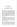# CHAPTER 17

## Recognising the Knower

Before you even think about something you must know that you exist to be able to have any thoughts. This Knowing is the key to finding out who you are and to dissolving the separate sense of self. If you look back at your life you will see that whatever happened to you there was something that just knew what was happening. If you burn your arm on a hot surface you KNOW it is hot, you don't have to think about it. If you are feeling fear you KNOW that it is fear, you don't have to think about it. If you have a very noisy mind you KNOW it is noisy, you don't have to think about it.

Looking at all of our thoughts, emotions, sensory experiences and life in general we can see that this Knowing has been there all the time. Something in us Knows when we wake up in a morning and it Knows when it is time for sleep in the evening. It Knows but it does not comment on anything. It Knows and silently registers everything.

We can only Know something if it is separate to us or outside of us. We can only see something if it is NOT us. Just as your eyes can see everything but they cannot see themselves, so too you are the Knowing of everything. You are That which Knows. You Know when thoughts come, you Know this sense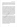of existence, you Know when the mind is quiet or noisy, you Know when the body hurts or feels good, you Know what is happening in your environment, you Know many things and yet they must be external to you in order for you to Know about them.

Consider for a moment that you can Know your body is here but your body cannot Know you are here. It is a one-way process. Our thoughts, emotions, perceptions, opinions and world are all things we Know but they cannot Know us because they are not sentient. Thoughts cannot think themselves or know themselves. They are not self-aware. Thoughts need this Knowing to be seen and You are that Knowing. Emotions cannot feel themselves because they are not self-aware. Contemplate these words deeply. Do you not Know even this sense of existence? This existence is Known to you but you are not that which exists in time and space. You Know this sense that "I exist" or "I am" and therefore this is not you. You even Know time and space and therefore even these are "external" to you! Ponder deeply the gravity of what you just read.

If we look in the dictionary for a definition of "to know" we find that it means "to be aware of through observation" or "to have developed a relationship with". Both of these definitions point to the fact that in us all is Something that Knows everything else but is in fact before and beyond everything it Knows. This Knowing Knows even the universe itself. You are this Knower and this practice is simply to keep attention on the Knowing. What usually happens is that our attention is always on WHAT we Know and not the Knowing itself. Here we are shifting the focus back to the fact that there is always this ever-present Knowing here. Keeping attention on the Knowing will dissolve the separate ego or the sense that all you are is the mind and body. This is the end of all suffering.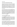#### The Practice of Recognising the Knower

Take some time each day to sit alone and without external distractions; as much time as you are able to. Put attention on that which Knows within you. There is a sense of some Presence within you that just Knows and is not thinking. Thinking happens after this Knowingness is here. You are that which Knows the mind is thinking. Keep your attention here and each time it wanders to thoughts bring it back to the Knowing itself.

As you continue to practice you may find that feelings of peace, bliss, intense energy and more begin to come and you must keep your focus on the Knower of even these feelings. There is no need to push bliss away but simply to notice the Knower instead. You will not lose the bliss, peace or intense Stillness by taking attention off it; in fact the opposite is true. When you keep your focus on YourSelf (the Knower) then peace and love and bliss will be yours always.

 $\subseteq$ 

#### The Progression of the Practice

As you begin the practice it will feel as though you are the one Knowing. There will be a feeling of "I Know". This is normal and this is where everyone must start from. This sense of being someone that Knows whatever thoughts, feelings, sensations and events that are happening in your world will stay with you for a while as you continue your practice.

If you are consistent in your practice and want nothing other than to fully awaken and dissolve your egoic sense of self you will soon begin to notice that the sense of Knowing seems to have no source. When we look for the Knower we cannot find it. It is not locatable somewhere as a "thing". Soon it will become very obvious that there is Knowing but no entity that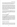Knows. The source of this Knowing cannot be found. If you look for it somewhere you will not find it. Instead it will be seen that you are this Knowing and not a person that knows.

Gradually you will find that the Knowingness begins to present Itself to you at random moments more and more often. Less and less will you have to look for it and at some point you will notice it seems to be always here. In fact it is that your attention is simply no longer wandering away with thoughts. Gradually the practice sessions will begin to happen more often and spontaneously you will recognise this ever present Knowingness is what you are.

In the end it will be seen that this Knowingness is what you are and all that you Know is arising out of this Knowingness. There never was any separate person that Knows; it just appeared that way for a while.

#### Summary of the Practice

Take some time each day to sit alone and without distraction and notice the Knower. Notice the fact that this Knower is there before even thought occurs. Each time you become distracted by your attention wandering off with thoughts simply bring it back to the Knower. Repeat this for as many times as is necessary throughout the practice session. Turn away from all distractions of noise, sensations, feelings and thoughts and keep attention only on the Knower.

## Resistance to the Practice

This practice is extremely direct and as such it may invoke resistance from your mind. The mind will not want to keep attention in one place only as it is used to jumping from subject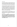to subject again and again. As you begin the practice you may notice some level of resistance, excuses, reasons why it will not work and all other kinds of thoughts coming up to distract you. This should show you that you are onto something good!

The amount of resistance to doing this is directly proportional to the effectiveness of the practice. Of course your ego will not want you to do this practice as it knows it is on a timer or countdown to disappearing. You must be strong and have a firm conviction that you will not be dissuaded. Nothing is stronger than the absolute conviction to wake up fully in this lifetime for it invites a whole plethora of unseen help from Divinity and you will be greatly assisted.

If resistance continues then re-read the chapter on "Self-Inquiry" and the chapter on "Short Cut" and apply them. Ask yourself what is aware of this resistance and is IT affected by the resistance?

 $\subseteq$ 

**When the Knower turns attention upon Itself it will come to Know Itself as the Infinite Knowingness/Awareness/ Presence that always IS and always will be. There is no separate "me" that knows; all we can find is that Knowingness is occurring seemingly with no locatable source in time and space.**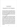# CHAPTER 18

## Recognising Your Own Subjectivity

We have been conditioned or trained to perceive ourselves to be an object; what we have been used to defining ourselves as is this subtle sense of being a "someone" in or with a body. This sense of being someone is really just a collection of thoughts about "me" and what I like or don't like, my dreams, hopes and goals, failures, my past regrets and future wishes and more. This all coagulates together to become our sense of self and is really a subtle object.

An object is a thing that has a definable location and duration in time and space. We are used to calling solid things objects such as a table, a planet, a human body or an apple. As humans we tend to disregard the subtle objectivity of thoughts, emotions and sensations in the body; all this we put together and call it "me". I want you to begin to examine if "me" is Subjective or objective. Was this sense of "me" here before the body was? Will it still remain after the body goes? Anything that relies on the body for its Existence, such as thought which needs a brain to think it, must be finite or in actuality an object. The sense of "me" is perhaps the most subtle object of all as it is always coming and going; it is not there when we have no body and it is not there in deep sleep, coma or when under an anaesthetic.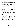What is this all driving at? It is to get you to realise that thoughts, feelings and emotions come and go and therefore MUST be objects having a finite life span in time and space. So too must your body be an object as it will go just as it came one day.

All that you can perceive are objects-stop for a moment and confirm this to be true before continuing. Can anything that you perceive be other than an object?

Now turn attention to what is perceiving; is that an object? If you the Perceiver of all thoughts, emotions, bodies, time and space were an object then you must have a location — when we look for this location we find only "no-thingness". The sense of "me" can be seen to be a subtle object yet the One seeing this cannot be seen. We begin to realise that what we really are is the Subjective "nothingness" that is watching all objective "thingness". You can stop right now and see if you can find the one that Knows/Sees/Perceives the "me" or person feeling. You will not be able to find it anywhere in a place. It is the Placeless Place.

 $\subseteq$ 

The first time you realise that what you are is this pure Subjectivity it can be quite shocking but it will become more obvious as you confirm it again and again. The aim of this practice is to reverse the tendency to think of yourself as an object. Objects like thoughts will be there but they are always appearing in (and witnessed by) this Subjective Self. Keeping attention on the Subjectivity and not allowing it to go back to the passing phenomena of objects allows the Truth of what you are to be revealed to you.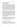## The Practice of Recognising Your Own Subjectivity

This practice is as simple as sitting down each day quietly for a period of time and putting your attention on the Subjective sense of a Witness that is watching thoughts. Notice that you cannot find it in any particular place and yet something is here and observing. Notice that it must be this Subjective sense of Self that can see objects. Objects cannot observe themselves. A thought cannot notice itself, nor can an emotion witness its own coming and going. No matter what object comes and goes you are there to witness it as this Subjective observer.

When attention drifts onto watching objects such as thought, feelings, opinions and narratives of the mind simply redirect the attention to that Subjectivity. Keeping attention consistently each day on this pure Subjectivity will cause the sense of being an object or a "someone" to dissolve. Thinking of yourself as an object or a definable "me" that is in the body is the cause of all fear. When we believe ourselves to be a finite entity bound by time and space we will also always fear the ending of this imaginary entity one day.

See clearly that you are not a "something" or a "someone" but you are the pure sense of Subjective witnessing Itself; but there is no person witnessing. See this and be free as no ending can come for This That Is because it never began.

### The Progression of the Practice

When you first begin to take time each day to sit down and notice this Subjectivity you might encounter the tendency to think of yourself as an object. Remember that an object need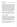not be solid like a table — but it can be anything that has a start and an ending.

It will feel at first as though you are a separate person noticing this "bigger" and more expansive sense of Subjective Self that is witnessing everything. As time passes and you continue to practice daily you might find that you begin to think of yourself as this Nothingness that is purely a Subjective experience. This pure Subjectivity will begin to reveal itself to you at random moments during the day when you are not trying to put attention on it or formally practicing. Gradually the idea that you are making a decision to sit down and notice this Subjectivity will disappear into the knowingness that this Subjective sense of Self is beginning to notice Itself more spontaneously.

Eventually any sense of being separate from this pure Subjectivity will disappear and you will know you have always been this and all there is, is This. There is nothing else.

 $\subseteq$ 

#### Summary of the Practice

Take some time each day to sit by yourself and free from distractions. Sit for as much time as you can manage and keep attention only on the Subjective nature of the Witness or Perceiver. That which watches all thoughts is purely Subjective, a no-thing-ness, and it must begin to watch Itself. In watching, it sees it cannot find Itself in any particular location and yet it seems to be present in every particular location!

When attention drifts to thoughts, emotions, noises in the environment or sensations in the body simply bring it back to the pure Subjective Witness watching Itself.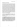#### Resistance to the Practice

Time and time again you will find you keep thinking of yourself as an object. This is simply a habit that has been reinforced over and over again. We have been trained or conditioned to only notice the objective nature of ourselves and to totally ignore the Subjective. For this reason you may find it frustrating at first when you observe the amount of times this habit comes into play but you must persist. Every awakened Being has gone through this process and persisted until the habit disappeared. We cannot simply force a habit to stop but we CAN replace it with another habit. All of these practices are simply to give your attention something healthy to focus on. When attention begins to focus on what is your Truest Self then all that is false will begin to dissolve and it gathers speed. The effects are cumulative and one day quite by surprise you will find yourself freer than you ever thought possible.

If resistance continues then re-read the chapter on "Self-Inquiry" and the chapter on "Short Cut" and apply them. Ask yourself what is aware of this resistance and is IT affected by the resistance?

**You already are this pure Subjectivity and there is no need to try to get rid of the objects you perceive. You need only keep attention on the Subjectivity itself; rather than the usual habit of being fixated and fascinated on the thought objects passing by you. Subjectivity is what is here. No entity can be found that is watching. Reality is this pure Subjectivity** — **it does not need any objects at all.**

91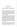# CHAPTER 19

# Stage Two Practice: Trigger Events

Once we have established a good practice routine, we will begin to find it easier and easier to tune into the Silence, Stillness, Awareness or the Noumenon by whichever name we call it. This is the stage when we may begin to feel like we are being tested. Events in our lives can trigger positive or negative thoughts and emotions based on whether they fit with our projections and desires.

Although it may feel as though we are being tested it is not by some higher power or all-seeing entity that is determined to stop our progress or define our worthiness for awakening. The test comes when an event happens in our world that triggers a lot of thoughts and emotions (and the resulting tensions in the body) to be felt. This is a crucial stage in our practice and one that we must understand if we are to wake up fully. We are being shown in these moments where we are still believing ourselves to be separate entities or where we are listening to our egoic sense of self.

When thoughts are triggered, we have two options and we will look at each in turn. We can (and usually do) pay attention to them and experience emotions based on how much those thoughts are believed. Thoughts are phenomena and they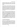emphasise the feeling of being a "someone" that is thinking and feeling the resulting emotions. When we believe these thoughts, we are automatically reinforcing our sense of being separate.

The other option is to allow the thoughts to come and the emotions too and yet remain focused on the Noumenon Itself by whatever means you tune into it. At first this may seem very difficult but it is only because the force of habit is to take attention away from the Noumenon and give it to the thoughts. A habit may be well established in our Consciousness but it is still just a habit which can be undone by paying attention to the Noumenon.

The only choice we have is whether to pay attention to the thoughts in moments like these or to turn away from the magnetic pull of the thoughts and stay with the Noumenon. Allow the body and mind to feel whatever they are feeling and remain centred on the Silence, Stillness or sense of Existence. Immediately you will begin to feel peace again and the emotional charge will begin to dissipate. If we remain focused on the pure Awareness we will find it easier and easier each time. The urge to pay attention to thoughts is simply a habit of where to put your attention; as you have seen when you are meditating and so can be reversed. The question is — will you?

### A Thousand Small Moments

We begin to live our awakening fully by being willing to turn away each time something triggers within us this strong sense of being someone that something has just happened to. No matter what thoughts come up from a trigger event it IS possible to simply take attention away from the thoughts and to say an inward "thank you" for being shown where you are still paying attention to thoughts.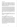Remember we can only pay attention to one thing at once; our attention is either on thoughts and phenomena or on the Silence. We are either strengthening our sense of being separate and our ability to suffer or we are dissolving the separateness. We cannot do both; the choice is always ours and we must make it every time.

In one thousand tiny moments such as these a Sage is made. Each one of us has this inner power, focus and conviction to turn away from the magnetic pull of thoughts and focus back on our True Self. It is a choice between peace and suffering. Choice by choice we bring our lives back into harmony moment by moment. This is the path of those who have awakened and there is no big secret to learn other than the fact that you can ignore any thoughts no matter how alluring they may seem to be.

When you become resolute in your decision to stay in the Noumenon AS the Noumenon then all unseen powers come to help you.

### Stage One Practice Prepares You For This

By now you should have at least tasted the true Silence that you are. By spending time on one of the stage one practices you have prepared yourself for stage two. Knowing that you are this peace, love and freedom and having felt it even for a short while, or in ever increasing frequency in your life will show you that it is worth putting the effort in for as long as it takes to turn away from thoughts when you are tested. Only by learning how to quickly and easily tune in to the Silence or Pure Beingness can you hope to do so when your mind is telling you many reasons why you cannot.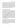It takes great strength of character to turn away from thoughts that are telling you how unfair this situation is, how you are right and the other person is wrong, how this should not be happening and how much it hurts you. Thoughts will insist on telling a story around each event that triggers the separateness of the egoic self within you but you need not listen to the stories. You are not the one telling stories NOR are you the one affected by the stories. You are the Beingness itself from which the idea of being someone is appearing.

## Use Everything You Are Given

Every event that happens and triggers suffering within you is really a great gift. It is life's way of showing you what you have not been willing to see until now. It may seem greatly unfair that the moment you are determined to stay as the Silence that all kinds of mental noise begins to make itself known to you. It may seem that when you are triggered into a thought pattern and resulting emotional state of discord that you are further away than ever from your goal. This is not the case. Life is simply showing you where you are still buying into the idea of separation; of being a "somebody" that has rights, feelings, needs, desires and goals. Life is giving you an opportunity to look at what thoughts are routinely believed in these moments and to turn back to Silence.

Anyone can adore the Silence when our mind is quiet or when we are sitting alone in our meditation space. When the mind is NOT quiet then we will find out how much we love Silence or if we trade Silence for the temporary buzz of feeling unjustly treated, outraged, upset, angry, triggered, saddened, jealous or any other state. All these states require you to believe the idea you are a separate entity.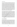If you are really serious about waking up fully then use everything you are given. Don't just order one thing from the menu of life — order everything. Ask for whatever it takes for you to wake up and mean it. Ask to be shown every place in your life where you are buying into noise and avoiding Silence. Be willing to see that which you have not wanted to see before. You see it is not so important to look at each thought pattern, emotion or sensation that comes up when you are triggered into some old reaction; but more important to look at your attention and to see whether it goes to the thoughts in a knee jerk response or if it stays with the Silence. If your attention stays in Silence it will very quickly not matter at all to you whether your mind is quiet or having a tsunami.

Use everything that happens in your life as a tool to help you wake up. Begin to look for reactions mentally, emotionally and physically. Take stock of your life and see which people, events, places or situations routinely trigger a mental and emotional response that seems to have a life of its own. These reactions have grown strong because of our habit of giving them attention. Attention feeds whatever you focus it upon with energy. You get more of what you pay attention to very quickly. Remember that attention can either be on the Silent Noumenon or on the noisy phenomena of thoughts and emotions, not both.

 $\subseteq$ 

### Win Yourself Back

When these moments come up for you it becomes obvious that the common factor is some kind of identification with being a person, separate from everything else. All that is needed is to disengage from feeding thoughts and emotions with your attention. Although it may seem difficult at first to keep your attention on the Stillness when thoughts come up, each time you hold the intention to stay in the Stillness it makes it easier.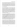Each one of the thousand moments is like a chance to win a part of yourself back and with each victory you will grow in strength, conviction and confidence in the process. You will begin to see that the ability to suffer is there only because it has not been investigated and the idea of being someone alone and separate has been allowed to persist simply through a lack of clear seeing.

When something happens in your life that causes upset, suffering and identification with being a separate person know that it is not because you are not good enough at the practice. On the contrary, it is because of your conviction and pure intention to win back your freedom that these things are happening. Here life is showing you "Win yourself back here… and here….and here too". Life is helping you, your mind is helping you by showing you where you still are more interested in thoughts than in YourSelf.

If you can begin to develop an attitude of being grateful for these trigger moments you will find yourself beyond the reach of suffering once and for all very quickly. Knowing you do not need to concern yourself with what to do about the outer situation and working on the inner situation first is key. Of course if action needs to happen in the outer world that is fine, take the action you need to but always do the inner work too. Most times the outer situation will begin to resolve just as a result of not buying into and energising the thoughts.

As you continue to stay in the Stillness even when these thoughts come to you then you will begin to become aware of patterns of the mind that you could not see before. You will gather your strength and power back each time you win some of yourself back from the mind patterns. More patterns will become easier to see and you will notice an ability slowly but surely to not automatically go with the thoughts. Each time you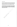overcome you get stronger and the next one becomes easier and easier. Eventually you will find that simply seeing a mind pattern is enough to dissolve it and that staying as the Stillness is effortless even when your mind is making a lot of noise.

**This whole process is much quicker, easier and simpler than your mind would have you believe! These thoughts are the reason most people do not make it to full awakening. Will you listen to them?**

> OP  $A^8$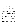# CHAPTER 20

## Stage Three Practice: Constant Effortless Meditation

As you become more established in your daily practice of formal meditation you will begin to notice that informal meditation is happening more often also. What this means is that you will begin to notice more and more often that the Noumenon is just very obviously here and you will not have to search for it.

As your practice deepens you will find that there will be times when your mind is engaged with doing something simple such as driving, cooking or listening to music and all of a sudden you will hear the Intense Silence that you are. Perhaps whilst sitting down after a day's work you will suddenly notice the Immovable Stillness. In these ways and a thousand more that I cannot possibly write down you will find the beauty, love, peace, Stillness, Silence and Awareness just presenting itself to you over and over again. Things that were once unlovable will suddenly move you to tears. Listening to music will become a whole body experience. The sunset may captivate your attention and cause you to be moved with emotion at the wonder of it.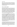When you begin to notice the Noumenon spontaneously you will find that more and more you want to tune in. Against the background of normal activities we must all do, such as picking up the kids from school or going to work, we will begin to fall in love with the Noumenon.

## Fall in Love With YourSelf

Notice that your body prefers to focus on the Noumenon rather than phenomena. Notice how relaxed and calm the body is when you are tuning in. Even your mind will want to turn towards this loving embrace of "sinking into" the Noumenon more and more. Gradually you will find that more often meditation is just happening by itself and that there is nobody making the decision to tune in. More and more the only thing you want to do is to sit and feel the Noumenon. Allow this to occur.

 $\subseteq$ 

Your mind will tell you that you will lose the ability to function in the world if you let go fully into this desire to sink deeper into the Self. This is simply not true. Over time you will see that it is possible to work, drive, eat, walk, shop and do anything whilst tuning in. Activities always have been happening by themselves and you can simply watch the body do whatever it needs to do. Let go of being the manager and be the witness only. Watch your life from the viewpoint of the Noumenon and you will begin to see that all activities happen effortlessly and do not need your input to continue. Just as you are not remembering to breathe or make your heart beat then you are not remembering to think or do.

You will notice that there are times when the Noumenon seems to be stronger or the Silence seems louder but this is simply because thoughts are quieter or you have all your attention on the Silence. When the "I am doing" thought begins to be no longer believed by you then the Silence will be with you always.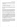Here are some ways the mind/separate sense of self claims it is necessary for your survival and should not be abandoned. It will tell you that:

"I am driving", "I am thinking", "I am planning", "I am sleeping", "I am enlightening", "I am exhausted".

None of this is occurring in Reality; all these are what the body is doing, not You. You do not sleep, eat or drive. You simply ARE.

Begin to question the reality of these thoughts and beliefs and you will see that all is occurring by itself and the sense of "me" claiming authorship is happening a split second after the action happens or the thought appears. You are only the Witness.

### **There is no doer of activities and no thinker of thoughts.**

Eventually you will rest all the time in the effortless Silence and see that there never was any separate entity that is responsible for running your life. You will find that quite naturally what needs to get done happens by itself and this has always been the case. The separate sense of self has simply been claiming credit for actions, thoughts and feelings that occur spontaneously, arising out of the Noumenon.

This mysterious sense of "me" has claimed that all actions, ideas and beliefs are due to it and it alone. Then it prides itself on the seeming successes and berates itself over the failures. None of this is happening in Reality. All is happening by itself; orchestrated by the whole universe.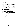## You Are Home

If you really want to wake up and you nurture the falling in love with the Noumenon then at some point you will be deeply rewarded by clear seeing. You must hold your ground and stand firm until constant meditation is effortless and is going on by itself. When this occurs you will suddenly know that you are witnessing even the Silence and Stillness. It will become obvious suddenly that you are Watching from Nowhere and that even Beingness is seen from this placeless place. This is the Absolute Reality. You are here before even Stillness or Silence. Presence presents Itself to You.

It will be seen that there is no "me" appearing in the Silence and that in fact You are That which Silence is heard in.

Enough said about this — find out for yourself as an experience and not as words on a page. BE this. It is worth any effort to be free finally and forever.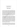# CHAPTER 21

## Self-Inquiry

There are times during our stage One and Two practice where we will come up against what seem to be very difficult obstacles which we cannot overcome. What are these obstacles? Belief in being a person that is attached to a person, place, thing or event and that we need this person, thing, place or event to make us happy. Quite often these attachments can have so much emotional charge around them that it can seemingly eclipse our ability to sense the Noumenon for a while.

An example may be that we are sitting in formal practice and we feel deep peace and then suddenly we begin to experience fear about losing our sense of being someone. No matter what we do we lose the focus and our attention seems to go directly to the thoughts and emotions which seem to have the pull of enormous gravity. Or we may be in Stage Two and out walking and some event triggers anger within us for example and it becomes so intense that we are shaking and perspiring and cannot seem to notice the Noumenon even if we remember what we are supposed to be doing.

These are examples of where Self-Inquiry can help us and it is a very useful technique which helps to dissolve emotional, mental and energetic charge around a thought or belief. Some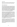beliefs have been so ingrained and repeated throughout many lifetimes that we may need an extra tool in these moments.

## What is Self-Inquiry?

All of our suffering comes because we assume that we know what we are. If we really look at all of our beliefs about ourselves we come to see they are all based upon the fact we believe that we are this mind and body; that this sense of "I" is only this. We assume this and simply never question it again. Because this belief is so deeply believed it has a lot of energy and belief from us around it. The habit and tendency to automatically assume this is true is not even noticed; let alone questioned.

Self-Inquiry is a very simple technique that acts like a mirror in which instead of assuming we know what we are we are finally able to say "I do not know what this sense of 'I' is". When we are open to actually look and see what this "I" is then we can begin to break down this energetic mass of belief around it. It is almost like melting an iceberg and Self-Inquiry is the heat. Every time we assume we are a person (a mind and a body separate from everything else) we are adding to this iceberg and every time we actually look and see inside what we are then we are allowing it to melt a little (or a lot).

 $\subseteq$ 

This belief that I am a person with problems and things to transcend and a spiritual journey to go on is simply not true and causes a lot of suffering. Self-Inquiry works best when we openly look inside our being and see if we can identify what we actually are. Amazingly when we search our Being we do not find this "me" that inhabits the body. We find we do not actually know what we are.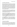## The Practice of Self-Inquiry

When we openly search our being without any pre-formed opinions about what we will find, then we come to the amazing fact that we cannot find a "me". This entity that we assumed we were is actually not locatable. We can find a body and a sense of someone being here but we cannot actually find a physical location for this "me". It is a kind of sensing or feeling into your Being, it is not a looking with the physical eyes but simply a non-physical searching. You begin to find that you cannot actually find Yourself!

For most people at first this may bring up some fear and this is normal and ok. Our minds are used to thinking of ourselves as being solid objects and while that may be true for the body it is most certainly not true for "me".

Stop right now as you read this and search what you think of as being you and see if you have any edges, boundaries, any limits. Do not assume anything and just actually look. Look and see what you can find and do not be stopped by fear; the mind is scared of what it does not know but you are not your mind.

Ask yourself "What am I?" or "Who am I?" and see what you find. We are not looking for a thought answer although of course your mind will try to supply one. Keep looking even when your mind tells you an answer and see what is revealed to you.

## Turning the Tide of Belief

Each time we look and do not find a separate locatable self that is "me" we are moving ever closer to waking up fully and finally. We have all spent many years assuming that we know what we are and we must confirm what we actually are over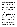and over again. As we look and find nothing tangible we are left with the intangible. As we search for a form we are left with only formlessness. As we look for an object we find only the Subjective sense of Self. As we search for a phenomenon called "me" with a location, position and size we can find only the Noumenon; a total lack of phenomena.

As we look and confirm over and over again we begin to turn around the tide of belief and see that we are not a "thing" called "me" at all. In fact we find we are a "no-thing" and that our truest essence is formless, Subjective, Nothingness or more like empty space. This empty space is sentient, intelligent and awake. All phenomena of thoughts, beliefs, bodies, and solid objects come out of this formlessness.

## How Can we Use Self-Inquiry?

We can use Self-Inquiry on its own to take us directly to the Noumenon. What is left when we do not find a solid "me" is something intangible; it is the Noumenon. We can also use self-inquiry to break down very strong beliefs that have a lot of pull magnetically. Certain thoughts and beliefs will appear again and again to show us that we are still believing them and this can interrupt our practice in such moments described in the Stage Two practice. Trigger events can cause a barrage of thoughts and an extremely noisy mind which results in a heightened or strong emotional state when the thoughts are believed.

For example we may be aware that there is only abundance in the universe and that any perceived lack is not really true but that may not be enough when we are deeply feeling the Silence and Peace in our Stage One practice and then we are presented with an unexpected bill that we cannot pay. The mind may immediately begin to present thoughts to us such as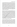"how am I going to pay this?" and "I don't have enough money" and these may be very strong neuropathways which pull our attention away from the Noumenon. As we pay attention to these thoughts we will begin to feel strong emotion from believing these thoughts and it may seem impossible in these moments to begin to feel the Noumenon again. When we believe our thoughts we create that experience for ourselves and in this case it will be lack showing up for us again. This in turn reinforces the neuropathways in our brain that produce a strong emotional response of fear, doubt and frustration again and again. We may feel it is all lost in those moments and we are back to where we started.

Self-Inquiry can help here by looking at the reality of the one that feels it is scared, the one that does not have enough. We begin to notice a lack and feel fear and automatically believe in the sense of "me" that has to find a way out of the problem or the "me" that has to find a way back to Silence. By looking inside ourselves for the sense of "me" we are redirecting the attention back to the source of the problem. Over and over in these trigger events we may notice attention immediately goes to what is happening to this sense of "me" and not to the "me" itself. Self-Inquiry questions the actuality of this "me" and begins to search for it. As we look for it and cannot find an objective sense of "me" then the emotional charge around the thoughts and beliefs here begin to dissipate.

We must use Self-Inquiry not just to make our negative emotions go away but to continue further into the inquiry to begin to undo this energetic mass of belief in this separate person. Each time we look we short cut the process to total freedom as the reality of this separate existence becomes less and less convincing. We can begin to see through this psychosomatic world of suffering that is really just a complex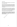series of interconnected neuropathways in our brain that have been energised by belief.

Every time we assume we are this person having a particular problem, emotion or belief we strengthen these neuropathways and suffer. Every time we question the reality of the one that is suffering we put the egoic sense of self on a countdown timer to its dissolution.

The egoic sense of self is simply a collection of unquestioned beliefs about ourselves. Once the validity of the person has been questioned you can never suffer the same again. Each time you look and do not find the actual separate person it becomes harder and harder to believe it next time.

**The first belief we assume to be true is that we are this separate person or that "I am this body". Question this belief by Self-Inquiry and all other beliefs will have no ground to stand on.**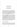# CHAPTER 22

## The Short Cut

At any point along stage One, Two or Three practice we can use the process of Self-Inquiry to speed up our progress. As we begin to spend more and more time as the Noumenon then we will be able to overcome obstacles easier and easier. Self-Inquiry helps that and at some point it will be seen very clearly that you are NOT an object and you never have been.

You will probably find that Self-Inquiry will begin to happen by itself more and more often as an area where you still believe yourself to be a person shows up for you. The habit before may have been to automatically believe the thoughts and emotions about your beliefs and this is reinforced by memories of experiences where these beliefs seemed to be very true. Quite naturally as you see yourself more and more as the Timeless, Formless One then you will begin to question automatically how real this separate person is in these moments.

### The Short Cut Process

There is a way to hasten this process too and you will know when you are ready for this because your attention will be drawn to the questions in this chapter. Suddenly the questions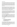will seem appealing, interesting and even though they may feel a little dangerous to the mind they draw you into them. Before you are ready the questions may seem obvious, irrelevant, boring or even pointless. At some point they will become living questions for you that you take inside your being and allow to do their work.

Waking up fully and living from the Truth always is simply a process of dissolving the energy of separation in the body caused by this belief in you as a separate being. It involves a change in brain chemistry and an openness to see yourself as being the Formlessness that no problem can affect.

The short cut process will help you with this. It is a question that is designed to dissolve the questioner. If the sense of being separate is simply an energetic mass of belief in our mind then these questions will enable clear Seeing to occur which will cut through this energetic mass.

 $\subseteq$ 

As with Self-Inquiry these questions do not require a mental answer. They are supposed to be living questions that you ask and allow the question to sink deeper into your being. It is almost as if you ask the question and then let it go. Perhaps a mental answer will come or perhaps not but it does not matter.

The Questions:

- **Can the Perceiver be perceived?**
- **Can the Observer be observed?**
- **Can the Seer be seen?**

These questions have powerful catalytic power in them and can help to awaken you. Never underestimate the power of these questions. Pick one that appeals to you and spend some time just looking and being with the question. You can even abandon all attempts to get an answer.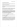### **You will become the answer!**

Something is observing your thoughts and emotions but can you observe the One observing?

Something is perceiving all this inner and outer world and all that happens in it; but can you perceive this One that is perceiving?

Something is seeing the thoughts, feelings, body, world, events, relationships and everything. Something sees the whole universe. But can the One seeing be seen?

**As you ask these questions and allow them to become a living thing inside you then you are asking with your whole Being. These questions are very direct, powerful and a concentrated form of Self-Inquiry.**

These questions have the power to end all suffering!

When you feel a pull magnetically to these questions then the end of suffering is near.

What you begin to find is that you cannot be seen, perceived or observed as an object or a phenomenon. You can only see YourSelf as the Noumenon in which all phenomena appear. Over and over it becomes confirmed again and again that you are the Noumenon viewing Itself. You are using time and space and form to perceive the Timeless and Formless One.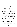# CHAPTER 23

## Resistance, Obstacles and Distractions Along the Pathway

Our mind has been used to thinking and perceiving the same way for a long time and therefore it WILL put up resistance to this process. To believe it will not or that you are not affected by it is naïve and will delay the process. Mind will produce doubts, worries, fears and seeming roadblocks along the pathway that may seem insurmountable at the time. This book is here to tell you that you can transcend ANY blockage or limitation ultimately by knowing what you are. No thought, emotion, problem or obstacle can stop you from Being what you already are. These obstacles all have a "thing-ness" quality to them and as the Ultimate Seer you are the space in which they are appearing. How much do the objects in the room affect the space in the room? Is it altered in any way if the room is full or empty?

### The Key to Moving Beyond Resistance

If we can learn to expect the obstacles to be different every time then we will be better prepared. Learning to look at the obstacles as helping us will allow us to view them more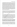compassionately and dissolve them faster. Your mind is trying to keep things the same as they always have been because it believes that is how to keep you safe. It firmly believes you are a separate being that has a finite beginning and ending and as such is doing everything it does to protect you. The mind has NO ability to see the True Self or the Noumenon because it cannot perceive something that is not an object. The mind is an object (a very subtle one) that is designed, used for and very good at perceiving objects. When we ask the mind to perceive the Subject it cannot and therefore it becomes afraid of what it cannot see or understand. When the mind begins to fear it will resist your efforts to awaken fully.

This does not need to stop you however as compassionate understanding of the mind dissolves it. Understanding WHY your mind is trying to stop you is vital and allows you to view it more as a kind of cute but annoying animal that knows no better.

We cannot expect our mind to be able to perceive That which the mind emerges out of. It would be like asking a movie to understand and comprehend the screen and projector used to view it AND the writer, actors and script. The mind is a set of automatic ways of looking at or thinking about things and as such it is not sentient. It is NOT able to make a decision and say "oh well I understand now and will stop resisting".

### **We can also begin to look at our mind as our best friend that is going to push us until we develop enough spiritual muscle power to stay as the Noumenon no matter what.**

Each time we feel some pattern of thinking and feeling about something is too strong to find the Noumenon then we are forced to look deeper within us for that strength of conviction that must be here. The Noumenon (You) is all things in potential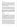and no thing in actuality yet. This means that it is a Silent, Invisible Field in which the potential exists for everything. It is therefore up to you what potential you make appear into its actuality and these trigger events are there to make you dig deeper and look for the absolute conviction that can only come from the Self and not the self.

No amount of resistance is bigger than You for You have no size. No amount of thoughts about a certain situation is more true than You for You are the Absolute Truth. No mind pattern has more power than You because You are the Infinite Power.

**Rather than wondering IF you are resisting the process right now it would be much easier, simpler and MUCH less painful to ask "please show me where I am resisting right now".**

### **Distractions**

One of the ways you will see resistance coming to the surface in practical terms is distraction. This is the mind's key way of getting you to lose your focus. It may start in a very simple way such as the thought "I don't have time to sit and tune in to the Noumenon today" or it may be a subtle feeling of restlessness that means you just cannot get comfy in your meditation seat. It may occur as feeling irritable or a sudden urge to sleep.

Most people will feel many distractions occur whilst committed to their stage one and two practice and these range from very earthly methods of distraction to sublime and "spiritual" ones. It would take a whole book in itself to list all the ways you might notice your mind trying to distract you. Everyone's path is unique to them and everyone's way of distracting themselves is unique too. Take a look at which ways you regularly take time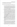for activities that do not need to be done and you will see how you are allowing yourself to be distracted!

Here is a list of common distractions that may happen for you:

- 1 Too much bliss during practice. In this situation the amount of bliss becomes seemingly too much and you feel the urge to stop. This can be dealt with by surrendering the bliss to the Noumenon/Divine and all is ok. You are the Field and the bliss is emerging out of it and You remain unaffected.
- 2 Sudden urge to fix something. Here the mind can suddenly come up with an idea to get something done, fixed or altered that seems to need to be done urgently. Simply notice that the urge only came when you sat down to meditate and that is no coincidence!
- 3 Tiredness. Each one of us will face this distraction at some point. We feel fine and calm and we sit to meditate and suddenly all we can do is yawn and our head begins to nod each time we relax into meditation. Here we can overcome this distraction by again noticing that we did not feel tired before we sat down. Notice also how magically we feel energetic again once we have gone about our business again.
- 4 Obsessively watching TV, movies or playing games. Along with this also goes social media and other sites! Notice what you habitually do often without any seeming control of it. Are you constantly glued to your phone?
- 5 Fear or some other emotion coming up. In this situation the mind can use many "what if…" questions to elicit fear such as "what if I cannot function and look after my children or work after the ego has dissolved?"
- 6 Reading spiritual books. At a certain point reading books such as this is a help to our practice but once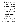we have seen what we are and have committed to our Stage One practice we may find ourselves reading again as a way to distract ourselves from the Silence. Thinking about Silence is NOT the same as listening for it. Reading about Silence is NOT the same as listening for it and Being it.

- 7 Endless questions about the process, the practice or the True Self Itself. No question can show you what you are but some questions can help to clear up doubts or confusions. At a certain point you may notice your mind is simply asking questions to make sure that you feel you need an answer to it before you can wake up fully. Many questions can be ignored once you have seen what you are. If your mind wants to obsessively ask questions then read the list of questions in the "Short Cut" chapter and focus on them.
- 8 Feeling as though you need to read one more book, attend one more Satsang or listen to one more teacher before you can wake up. This is simply not true.

 $\subseteq$ 

- 9 Feeling unworthy or not good enough to wake up fully. Again this is simply not true; you are already the Noumenon and need not become it. You only need to recognise this.
- 10 Feeling as though you need a live teacher there in front of you. Again this is not needed because the true teacher is within you and if you need a prompt then you will receive this guidance from the heart.

As we have said we cannot have a total list here of all the ways your mind will try to distract you but if you want to see what ways it is trying then you will be shown. A willingness to see is all that is needed.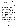### Common Obstacles

### **Fear of Not Being Able to Function**

This is common to nearly every spiritual student and occurs because our mind or separate sense of self cannot possibly accept or understand that our functioning in the world is due to the True Self right now. We fear how we will move around, go to work, raise our children and live our daily life without a separate sense of self. We live under the illusion that it is this "me" that is making it all happen and making sure we get to work on time or remember to pick up the kids from school.

As we grow and progress in our Stage One and Two practice, we will see that everything is simply happening by itself and if we need to remember something, plan something or use our mind after awakening we will and can thanks to the power of the Noumenon. Our ego was never in charge no matter how much it tried to convince us. We survived and made it into adulthood despite the ego and not because of it!

Amazingly we find the opposite of the fear is true and we are more able to function clearly and efficiently the more awake we are. We can actually listen to others for the first time instead of listening with our own agenda. We can love unconditionally and yet not be taken advantage of. We have more energy and a quiet mind to see exactly what the best course of action is without the stress of trying to decide and weigh the options, which is all the mind can do.

For the first time ever perhaps we find ourselves fully here, present and alive.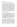### **Periods Where Nothing Seems to be Happening**

If we are serious about wanting to awaken fully we must come to accept now that there will be periods of time in our practice where it appears that nothing is happening. Inside of us and deep down there is a profound change occurring but we may not see it as yet; just as when a seedling grows we see nothing happening for a while as the roots develop under the soil. From that seedling a mighty oak tree will grow and then a whole forest of trees but if we look at this initial stage for results then we may be disappointed. Learn to disregard this need for outer results. The outer world is a world of effects only and has no power. All change comes from within and you will see soon enough. Simply keep focused and stop looking for results.

### **Too Much Stillness and Bliss**

As you move deeper into your practice you may find that Stillness, Silence and Bliss can seem to become very strong at moments. You may even experience strong surges of energy in the body and many other physical experiences. You may have moments that seem overwhelmingly loving and as though you cannot handle all the love. There might be some profound experiences or some awful despair and doubts. There may be dark moments when you seem to have lost your way.

 $\subseteq$ 

How do we cope with all this and still function and continue? The answer is always to be the Noumenon in which these moments are happening. Surrendering the bliss, doubts, fears, energetic movements or whatever is happening to the Self and staying ONLY as the Noumenon is the answer for all that may seem to occur. It is that simple. You can only struggle with too much bliss if you feel you are the one that is feeling blissful. You can only feel that the Stillness will not allow you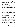to move if you think you are the one moving! Stay as the Awareness only, BE the Noumenon and all will be simple and clear. This surrendering will become automatic for you as you easily choose the Noumenon.

Whatever problem you have along the way MUST be a problem of the ego and not the Noumenon. Make a choice to be only the Noumenon and turn to it whenever you notice your attention has gone back to the sense of "me" and its problems. Do this and watch all issues melt away.

## The Power to Ignore

Eventually you will see that you are developing only one skill really and that is the power to ignore thoughts. This does not make thoughts wrong or bad! It is simply that you know where that road goes and you have been down it many times. You know what happens when you listen to your mind.

Developing the power to ignore is as simple as turning attention away and staying with YourSelf. If you were in a busy market place and you were walking through it on your honeymoon all your attention would be on your new husband or wife and you would NOT need to be dragged away from other people.

When a train comes into a station you do not automatically get on it; you wait for the one that takes you where you want to go. Similarly you do not try to get into every car in the car park but you walk only to your car and drive away. This power to ignore is innate in you but you have never used it on thoughts before. Think of everyone you met yesterday as you went through your day. Can you remember every little detail of what they said, how they moved and what they were wearing? Of course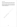not! You have naturally learned to ignore and filter out what is extraneous and not useful. Simply do this with the mind now!

What if you could simply turn away from any thought? What if no thought was appealing because you know how that ends? This power is already with you!

> OP ALBOY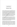# CHAPTER 24

## Asking for Help

The irony of waking up is that we come to see that we are all One Consciousness appearing as many and yet somehow we must choose to do the work alone. No Teacher, Sage or Guru can make this happen for you. You must take responsibility for the work by YourSelf and make it happen. Nobody can be in your mind choosing what to focus on in every moment. You must choose as a seemingly separate entity until the chooser has vanished. Each moment you do not make a conscious choice you are unconsciously choosing to stay asleep.

Another ironic thing is that the very moment you choose to do this work then the whole Universe begins to move for you and with you. A multitude of unseen help will come to you in all manner of ways. So you must stand alone and resolute and yet the moment you do then all the Awakened Beings that have ever walked this earth will come to aid you.

No Sage has favourites and they are there to help any genuine spiritual seeker along the way at every step. You need only ask. Some may call this praying but it can be as simple as saying "Help me please". You may feel called to ask that you be absorbed into the Infinite Field of You. You might feel more aligned to surrender everything and yourself to God.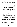Whichever way you feel the urge to admit you need help then do so. Humility is the key to success and we are never more humble than when we know we don't know what to do.

As a separate person you cannot wake up because you do not exist. You are an apparition in the Totality and as you ask for help then you allow the Field of Infinite Possibility to help you. You allow the Self to help you. You have already tried to do it by will power and effort and it did not work. Nobody ever woke up this way.

**Your mind has no idea how to wake up or even what the Awakened State feels or looks like. All it can do is look for feelings or sensations and compare them with previous ones. The Noumenon is not a feeling.**

## Ego is Arrogance

The ego survives because we think we know what to do or not do or who we are. These are all assumptions that are untrue. A Wise One knows that she does not know and this not knowing brings total peace and clarity. Ask any person you meet who they are and they will probably look at you strangely, as if it is an absurd question because they know they are the "me" or they might tell you their name. Either way it is assumed this name is me and that is all there is to it. Be humble enough to know you do not know and this undoes immediately all the arrogance.

"I know" is close-minded arrogance.

"I don't know" is humility and openness that must lead to awakening.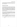The Truth is that you do not really know anything. Ask to be shown what each thing means rather than assuming "this is good" or "this is bad".

## Aligning With a Master

If you have access to a True Teacher then align with them, ask for their help. Ask for any help you can get. You may feel called to a particular Master such as Christ, Krishna or the Buddha. You may simply feel connected to the Angels or have your own way of receiving help. It does not matter what you call it because you are really finessing the Power of the Infinite Noumenon to help you.

Be open, humble and determined and you HAVE to succeed. It is not a question of if you will wake up but when. All the Sages of ages gone past and present have been through this process and there is no shortcut.

All you need will come to you; simply make the first step. Be devoted to Truth and all else will happen for you step by step.

You can do this. You are already That which you are seeking.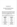# CHAPTER 25

## Summary of Common Names for the Noumenon

Below are some of the ways the Noumenon has been described in other teachings. For each set of terms there are two names. Reading through the list may help to awaken a recognition in you as you read and at certain times along the way different sets of terms may be more appealing than others.

They are all names for That Which Has No Name. Don't get attached to any name; look at what the name points to.

| <b>NOUMENON</b>      | <b>PHENOMENA</b> |
|----------------------|------------------|
| <b>Oneness</b>       | many             |
| Allness              | separation       |
| <b>Empty Mind</b>    | full mind        |
| Unity                | multiplicity     |
| <b>Silent Mind</b>   | noisy mind       |
| Non-Duality          | duality          |
| "I" as Consciousness | "I" as a person  |
| Nothingness          | somethingness    |
| Awakeness            | sleep/dream      |
| Consciousness        | unconsciousness  |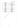| Silence               | sound                   |  |
|-----------------------|-------------------------|--|
| Subjectivity          | object                  |  |
| <b>Being</b>          | being someone/something |  |
| <b>Stillness</b>      | movement                |  |
| Presence              | person                  |  |
| God                   | ego                     |  |
| Truth                 | falsehood               |  |
| Formless              | form                    |  |
| Reality               | illusion                |  |
| Knowingness           | knowing about           |  |
| Awareness             | perception              |  |
| Context               | content                 |  |
| <b>Infinite Field</b> | finite being            |  |
| <b>Timeless</b>       | duration                |  |
|                       |                         |  |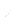BALBOARY 55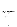If you would like more information about Helen Hamilton, her live Satsangs, silent retreats and classes please contact us:

 $\sim$ 

Our website is www.helenhamilton.org

Find us on facebook by searching @satsangwithhelenhamilton

Search for us on YouTube at "Satsangwithhelenhamilton"

Email us at evolutionofspirit@gmail.com